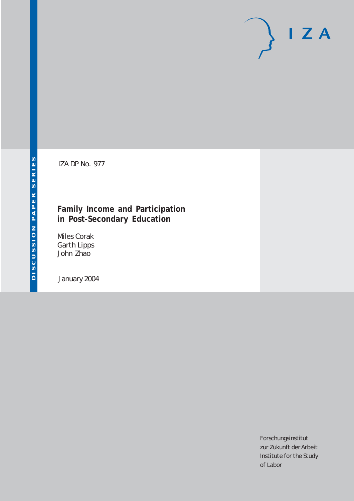# $I Z A$

IZA DP No. 977

## **Family Income and Participation in Post-Secondary Education**

Miles Corak Garth Lipps John Zhao

January 2004

Forschungsinstitut zur Zukunft der Arbeit Institute for the Study of Labor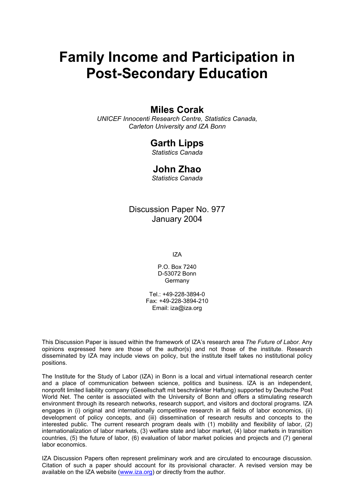# **Family Income and Participation in Post-Secondary Education**

## **Miles Corak**

*UNICEF Innocenti Research Centre, Statistics Canada, Carleton University and IZA Bonn* 

## **Garth Lipps**

*Statistics Canada* 

## **John Zhao**

*Statistics Canada* 

## Discussion Paper No. 977 January 2004

IZA

P.O. Box 7240 D-53072 Bonn Germany

Tel.: +49-228-3894-0 Fax: +49-228-3894-210 Email: [iza@iza.org](mailto:iza@iza.org)

This Discussion Paper is issued within the framework of IZA's research area *The Future of Labor.* Any opinions expressed here are those of the author(s) and not those of the institute. Research disseminated by IZA may include views on policy, but the institute itself takes no institutional policy positions.

The Institute for the Study of Labor (IZA) in Bonn is a local and virtual international research center and a place of communication between science, politics and business. IZA is an independent, nonprofit limited liability company (Gesellschaft mit beschränkter Haftung) supported by Deutsche Post World Net. The center is associated with the University of Bonn and offers a stimulating research environment through its research networks, research support, and visitors and doctoral programs. IZA engages in (i) original and internationally competitive research in all fields of labor economics, (ii) development of policy concepts, and (iii) dissemination of research results and concepts to the interested public. The current research program deals with (1) mobility and flexibility of labor, (2) internationalization of labor markets, (3) welfare state and labor market, (4) labor markets in transition countries, (5) the future of labor, (6) evaluation of labor market policies and projects and (7) general labor economics.

IZA Discussion Papers often represent preliminary work and are circulated to encourage discussion. Citation of such a paper should account for its provisional character. A revised version may be available on the IZA website ([www.iza.org](http://www.iza.org/)) or directly from the author.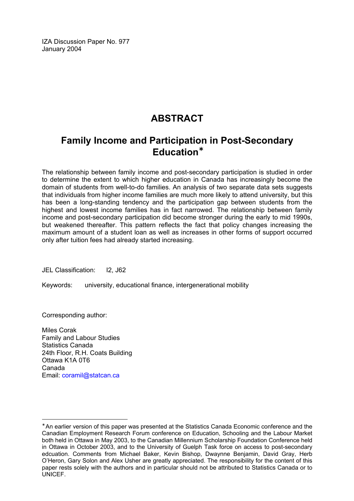IZA Discussion Paper No. 977 January 2004

## **ABSTRACT**

## **Family Income and Participation in Post-Secondary Education**[∗](#page-2-0)

The relationship between family income and post-secondary participation is studied in order to determine the extent to which higher education in Canada has increasingly become the domain of students from well-to-do families. An analysis of two separate data sets suggests that individuals from higher income families are much more likely to attend university, but this has been a long-standing tendency and the participation gap between students from the highest and lowest income families has in fact narrowed. The relationship between family income and post-secondary participation did become stronger during the early to mid 1990s, but weakened thereafter. This pattern reflects the fact that policy changes increasing the maximum amount of a student loan as well as increases in other forms of support occurred only after tuition fees had already started increasing.

JEL Classification: I2, J62

Keywords: university, educational finance, intergenerational mobility

Corresponding author:

Miles Corak Family and Labour Studies Statistics Canada 24th Floor, R.H. Coats Building Ottawa K1A 0T6 Canada Email: [coramil@statcan.ca](mailto:coramil@statcan.ca)

<span id="page-2-0"></span><sup>∗</sup> An earlier version of this paper was presented at the Statistics Canada Economic conference and the Canadian Employment Research Forum conference on Education, Schooling and the Labour Market both held in Ottawa in May 2003, to the Canadian Millennium Scholarship Foundation Conference held in Ottawa in October 2003, and to the University of Guelph Task force on access to post-secondary edcuation. Comments from Michael Baker, Kevin Bishop, Dwaynne Benjamin, David Gray, Herb O'Heron, Gary Solon and Alex Usher are greatly appreciated. The responsibility for the content of this paper rests solely with the authors and in particular should not be attributed to Statistics Canada or to UNICEF.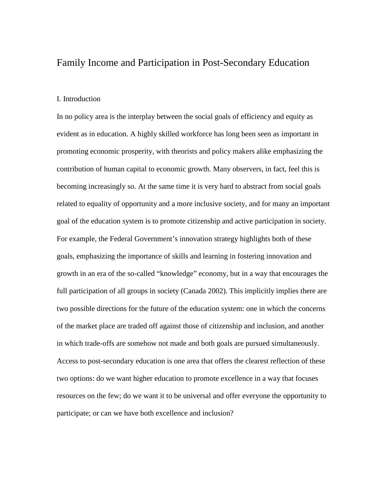#### Family Income and Participation in Post-Secondary Education

#### I. Introduction

In no policy area is the interplay between the social goals of efficiency and equity as evident as in education. A highly skilled workforce has long been seen as important in promoting economic prosperity, with theorists and policy makers alike emphasizing the contribution of human capital to economic growth. Many observers, in fact, feel this is becoming increasingly so. At the same time it is very hard to abstract from social goals related to equality of opportunity and a more inclusive society, and for many an important goal of the education system is to promote citizenship and active participation in society. For example, the Federal Government's innovation strategy highlights both of these goals, emphasizing the importance of skills and learning in fostering innovation and growth in an era of the so-called "knowledge" economy, but in a way that encourages the full participation of all groups in society (Canada 2002). This implicitly implies there are two possible directions for the future of the education system: one in which the concerns of the market place are traded off against those of citizenship and inclusion, and another in which trade-offs are somehow not made and both goals are pursued simultaneously. Access to post-secondary education is one area that offers the clearest reflection of these two options: do we want higher education to promote excellence in a way that focuses resources on the few; do we want it to be universal and offer everyone the opportunity to participate; or can we have both excellence and inclusion?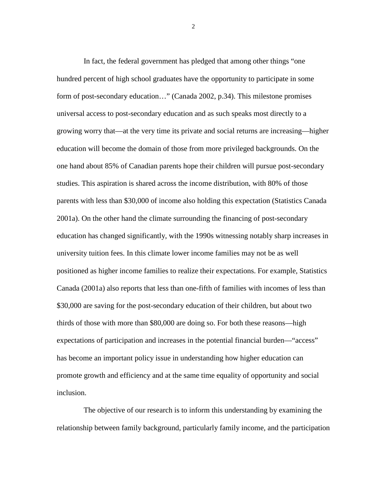In fact, the federal government has pledged that among other things "one hundred percent of high school graduates have the opportunity to participate in some form of post-secondary education…" (Canada 2002, p.34). This milestone promises universal access to post-secondary education and as such speaks most directly to a growing worry that—at the very time its private and social returns are increasing—higher education will become the domain of those from more privileged backgrounds. On the one hand about 85% of Canadian parents hope their children will pursue post-secondary studies. This aspiration is shared across the income distribution, with 80% of those parents with less than \$30,000 of income also holding this expectation (Statistics Canada 2001a). On the other hand the climate surrounding the financing of post-secondary education has changed significantly, with the 1990s witnessing notably sharp increases in university tuition fees. In this climate lower income families may not be as well positioned as higher income families to realize their expectations. For example, Statistics Canada (2001a) also reports that less than one-fifth of families with incomes of less than \$30,000 are saving for the post-secondary education of their children, but about two thirds of those with more than \$80,000 are doing so. For both these reasons—high expectations of participation and increases in the potential financial burden—"access" has become an important policy issue in understanding how higher education can promote growth and efficiency and at the same time equality of opportunity and social inclusion.

The objective of our research is to inform this understanding by examining the relationship between family background, particularly family income, and the participation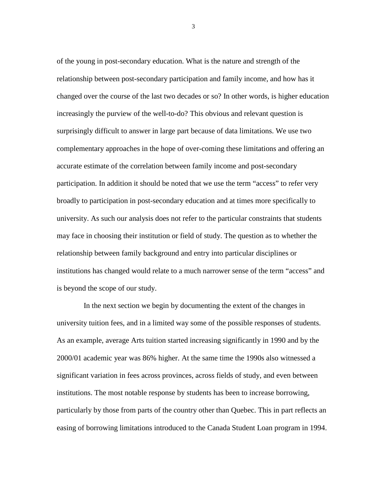of the young in post-secondary education. What is the nature and strength of the relationship between post-secondary participation and family income, and how has it changed over the course of the last two decades or so? In other words, is higher education increasingly the purview of the well-to-do? This obvious and relevant question is surprisingly difficult to answer in large part because of data limitations. We use two complementary approaches in the hope of over-coming these limitations and offering an accurate estimate of the correlation between family income and post-secondary participation. In addition it should be noted that we use the term "access" to refer very broadly to participation in post-secondary education and at times more specifically to university. As such our analysis does not refer to the particular constraints that students may face in choosing their institution or field of study. The question as to whether the relationship between family background and entry into particular disciplines or institutions has changed would relate to a much narrower sense of the term "access" and is beyond the scope of our study.

In the next section we begin by documenting the extent of the changes in university tuition fees, and in a limited way some of the possible responses of students. As an example, average Arts tuition started increasing significantly in 1990 and by the 2000/01 academic year was 86% higher. At the same time the 1990s also witnessed a significant variation in fees across provinces, across fields of study, and even between institutions. The most notable response by students has been to increase borrowing, particularly by those from parts of the country other than Quebec. This in part reflects an easing of borrowing limitations introduced to the Canada Student Loan program in 1994.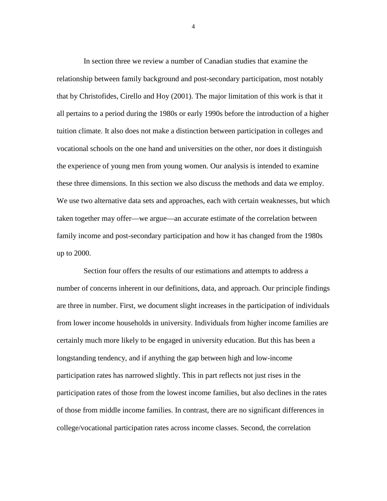In section three we review a number of Canadian studies that examine the relationship between family background and post-secondary participation, most notably that by Christofides, Cirello and Hoy (2001). The major limitation of this work is that it all pertains to a period during the 1980s or early 1990s before the introduction of a higher tuition climate. It also does not make a distinction between participation in colleges and vocational schools on the one hand and universities on the other, nor does it distinguish the experience of young men from young women. Our analysis is intended to examine these three dimensions. In this section we also discuss the methods and data we employ. We use two alternative data sets and approaches, each with certain weaknesses, but which taken together may offer—we argue—an accurate estimate of the correlation between family income and post-secondary participation and how it has changed from the 1980s up to 2000.

Section four offers the results of our estimations and attempts to address a number of concerns inherent in our definitions, data, and approach. Our principle findings are three in number. First, we document slight increases in the participation of individuals from lower income households in university. Individuals from higher income families are certainly much more likely to be engaged in university education. But this has been a longstanding tendency, and if anything the gap between high and low-income participation rates has narrowed slightly. This in part reflects not just rises in the participation rates of those from the lowest income families, but also declines in the rates of those from middle income families. In contrast, there are no significant differences in college/vocational participation rates across income classes. Second, the correlation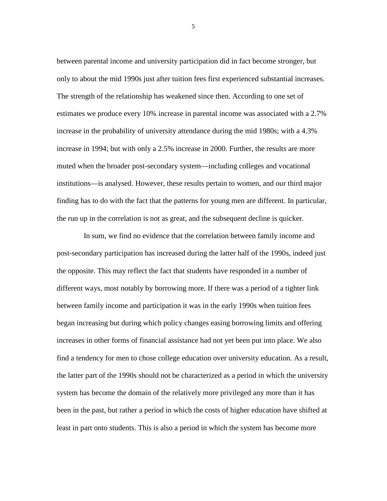between parental income and university participation did in fact become stronger, but only to about the mid 1990s just after tuition fees first experienced substantial increases. The strength of the relationship has weakened since then. According to one set of estimates we produce every 10% increase in parental income was associated with a 2.7% increase in the probability of university attendance during the mid 1980s; with a 4.3% increase in 1994; but with only a 2.5% increase in 2000. Further, the results are more muted when the broader post-secondary system—including colleges and vocational institutions—is analysed. However, these results pertain to women, and our third major finding has to do with the fact that the patterns for young men are different. In particular, the run up in the correlation is not as great, and the subsequent decline is quicker.

In sum, we find no evidence that the correlation between family income and post-secondary participation has increased during the latter half of the 1990s, indeed just the opposite. This may reflect the fact that students have responded in a number of different ways, most notably by borrowing more. If there was a period of a tighter link between family income and participation it was in the early 1990s when tuition fees began increasing but during which policy changes easing borrowing limits and offering increases in other forms of financial assistance had not yet been put into place. We also find a tendency for men to chose college education over university education. As a result, the latter part of the 1990s should not be characterized as a period in which the university system has become the domain of the relatively more privileged any more than it has been in the past, but rather a period in which the costs of higher education have shifted at least in part onto students. This is also a period in which the system has become more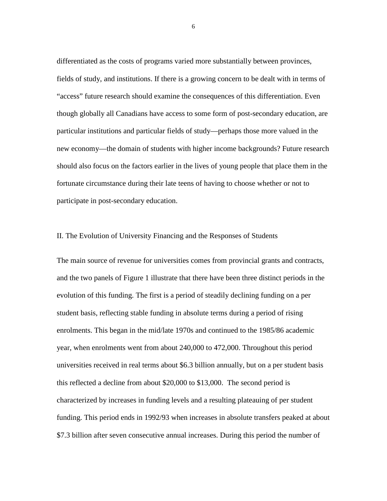differentiated as the costs of programs varied more substantially between provinces, fields of study, and institutions. If there is a growing concern to be dealt with in terms of "access" future research should examine the consequences of this differentiation. Even though globally all Canadians have access to some form of post-secondary education, are particular institutions and particular fields of study—perhaps those more valued in the new economy—the domain of students with higher income backgrounds? Future research should also focus on the factors earlier in the lives of young people that place them in the fortunate circumstance during their late teens of having to choose whether or not to participate in post-secondary education.

#### II. The Evolution of University Financing and the Responses of Students

The main source of revenue for universities comes from provincial grants and contracts, and the two panels of Figure 1 illustrate that there have been three distinct periods in the evolution of this funding. The first is a period of steadily declining funding on a per student basis, reflecting stable funding in absolute terms during a period of rising enrolments. This began in the mid/late 1970s and continued to the 1985/86 academic year, when enrolments went from about 240,000 to 472,000. Throughout this period universities received in real terms about \$6.3 billion annually, but on a per student basis this reflected a decline from about \$20,000 to \$13,000. The second period is characterized by increases in funding levels and a resulting plateauing of per student funding. This period ends in 1992/93 when increases in absolute transfers peaked at about \$7.3 billion after seven consecutive annual increases. During this period the number of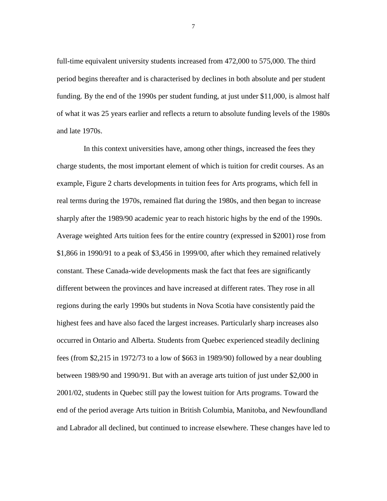full-time equivalent university students increased from 472,000 to 575,000. The third period begins thereafter and is characterised by declines in both absolute and per student funding. By the end of the 1990s per student funding, at just under \$11,000, is almost half of what it was 25 years earlier and reflects a return to absolute funding levels of the 1980s and late 1970s.

In this context universities have, among other things, increased the fees they charge students, the most important element of which is tuition for credit courses. As an example, Figure 2 charts developments in tuition fees for Arts programs, which fell in real terms during the 1970s, remained flat during the 1980s, and then began to increase sharply after the 1989/90 academic year to reach historic highs by the end of the 1990s. Average weighted Arts tuition fees for the entire country (expressed in \$2001) rose from \$1,866 in 1990/91 to a peak of \$3,456 in 1999/00, after which they remained relatively constant. These Canada-wide developments mask the fact that fees are significantly different between the provinces and have increased at different rates. They rose in all regions during the early 1990s but students in Nova Scotia have consistently paid the highest fees and have also faced the largest increases. Particularly sharp increases also occurred in Ontario and Alberta. Students from Quebec experienced steadily declining fees (from \$2,215 in 1972/73 to a low of \$663 in 1989/90) followed by a near doubling between 1989/90 and 1990/91. But with an average arts tuition of just under \$2,000 in 2001/02, students in Quebec still pay the lowest tuition for Arts programs. Toward the end of the period average Arts tuition in British Columbia, Manitoba, and Newfoundland and Labrador all declined, but continued to increase elsewhere. These changes have led to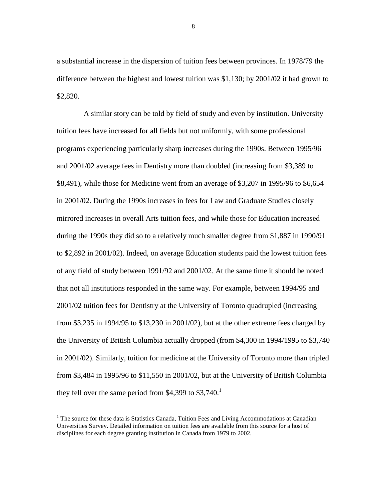a substantial increase in the dispersion of tuition fees between provinces. In 1978/79 the difference between the highest and lowest tuition was \$1,130; by 2001/02 it had grown to \$2,820.

A similar story can be told by field of study and even by institution. University tuition fees have increased for all fields but not uniformly, with some professional programs experiencing particularly sharp increases during the 1990s. Between 1995/96 and 2001/02 average fees in Dentistry more than doubled (increasing from \$3,389 to \$8,491), while those for Medicine went from an average of \$3,207 in 1995/96 to \$6,654 in 2001/02. During the 1990s increases in fees for Law and Graduate Studies closely mirrored increases in overall Arts tuition fees, and while those for Education increased during the 1990s they did so to a relatively much smaller degree from \$1,887 in 1990/91 to \$2,892 in 2001/02). Indeed, on average Education students paid the lowest tuition fees of any field of study between 1991/92 and 2001/02. At the same time it should be noted that not all institutions responded in the same way. For example, between 1994/95 and 2001/02 tuition fees for Dentistry at the University of Toronto quadrupled (increasing from \$3,235 in 1994/95 to \$13,230 in 2001/02), but at the other extreme fees charged by the University of British Columbia actually dropped (from \$4,300 in 1994/1995 to \$3,740 in 2001/02). Similarly, tuition for medicine at the University of Toronto more than tripled from \$3,484 in 1995/96 to \$11,550 in 2001/02, but at the University of British Columbia they fell over the same period from \$4,399 to  $$3,740$ .<sup>1</sup>

<sup>&</sup>lt;sup>1</sup> The source for these data is Statistics Canada, Tuition Fees and Living Accommodations at Canadian Universities Survey. Detailed information on tuition fees are available from this source for a host of disciplines for each degree granting institution in Canada from 1979 to 2002.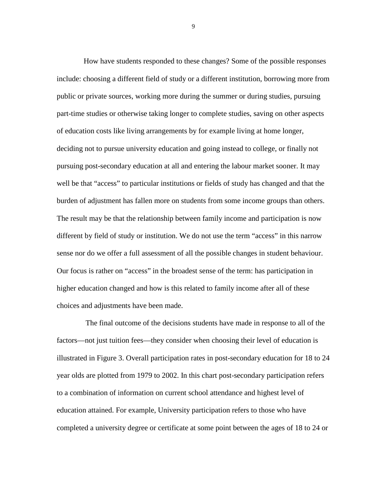How have students responded to these changes? Some of the possible responses include: choosing a different field of study or a different institution, borrowing more from public or private sources, working more during the summer or during studies, pursuing part-time studies or otherwise taking longer to complete studies, saving on other aspects of education costs like living arrangements by for example living at home longer, deciding not to pursue university education and going instead to college, or finally not pursuing post-secondary education at all and entering the labour market sooner. It may well be that "access" to particular institutions or fields of study has changed and that the burden of adjustment has fallen more on students from some income groups than others. The result may be that the relationship between family income and participation is now different by field of study or institution. We do not use the term "access" in this narrow sense nor do we offer a full assessment of all the possible changes in student behaviour. Our focus is rather on "access" in the broadest sense of the term: has participation in higher education changed and how is this related to family income after all of these choices and adjustments have been made.

 The final outcome of the decisions students have made in response to all of the factors—not just tuition fees—they consider when choosing their level of education is illustrated in Figure 3. Overall participation rates in post-secondary education for 18 to 24 year olds are plotted from 1979 to 2002. In this chart post-secondary participation refers to a combination of information on current school attendance and highest level of education attained. For example, University participation refers to those who have completed a university degree or certificate at some point between the ages of 18 to 24 or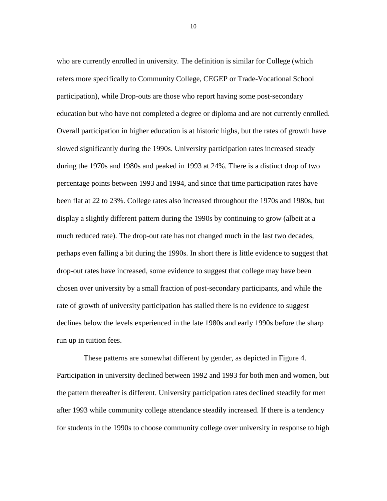who are currently enrolled in university. The definition is similar for College (which refers more specifically to Community College, CEGEP or Trade-Vocational School participation), while Drop-outs are those who report having some post-secondary education but who have not completed a degree or diploma and are not currently enrolled. Overall participation in higher education is at historic highs, but the rates of growth have slowed significantly during the 1990s. University participation rates increased steady during the 1970s and 1980s and peaked in 1993 at 24%. There is a distinct drop of two percentage points between 1993 and 1994, and since that time participation rates have been flat at 22 to 23%. College rates also increased throughout the 1970s and 1980s, but display a slightly different pattern during the 1990s by continuing to grow (albeit at a much reduced rate). The drop-out rate has not changed much in the last two decades, perhaps even falling a bit during the 1990s. In short there is little evidence to suggest that drop-out rates have increased, some evidence to suggest that college may have been chosen over university by a small fraction of post-secondary participants, and while the rate of growth of university participation has stalled there is no evidence to suggest declines below the levels experienced in the late 1980s and early 1990s before the sharp run up in tuition fees.

These patterns are somewhat different by gender, as depicted in Figure 4. Participation in university declined between 1992 and 1993 for both men and women, but the pattern thereafter is different. University participation rates declined steadily for men after 1993 while community college attendance steadily increased. If there is a tendency for students in the 1990s to choose community college over university in response to high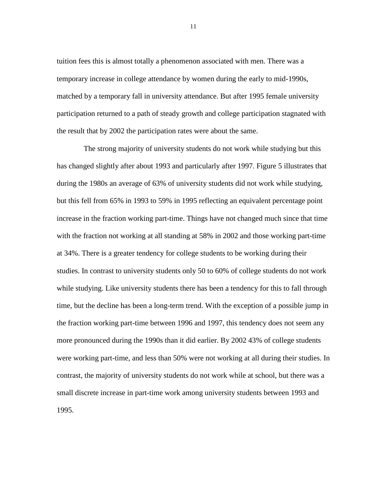tuition fees this is almost totally a phenomenon associated with men. There was a temporary increase in college attendance by women during the early to mid-1990s, matched by a temporary fall in university attendance. But after 1995 female university participation returned to a path of steady growth and college participation stagnated with the result that by 2002 the participation rates were about the same.

The strong majority of university students do not work while studying but this has changed slightly after about 1993 and particularly after 1997. Figure 5 illustrates that during the 1980s an average of 63% of university students did not work while studying, but this fell from 65% in 1993 to 59% in 1995 reflecting an equivalent percentage point increase in the fraction working part-time. Things have not changed much since that time with the fraction not working at all standing at 58% in 2002 and those working part-time at 34%. There is a greater tendency for college students to be working during their studies. In contrast to university students only 50 to 60% of college students do not work while studying. Like university students there has been a tendency for this to fall through time, but the decline has been a long-term trend. With the exception of a possible jump in the fraction working part-time between 1996 and 1997, this tendency does not seem any more pronounced during the 1990s than it did earlier. By 2002 43% of college students were working part-time, and less than 50% were not working at all during their studies. In contrast, the majority of university students do not work while at school, but there was a small discrete increase in part-time work among university students between 1993 and 1995.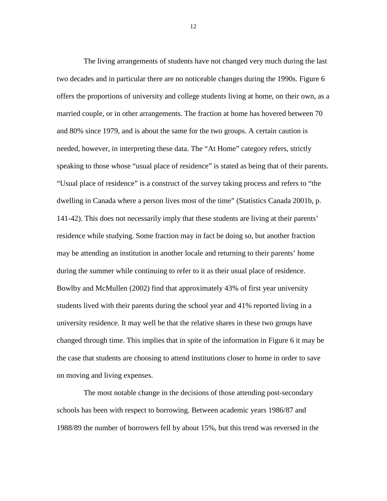The living arrangements of students have not changed very much during the last two decades and in particular there are no noticeable changes during the 1990s. Figure 6 offers the proportions of university and college students living at home, on their own, as a married couple, or in other arrangements. The fraction at home has hovered between 70 and 80% since 1979, and is about the same for the two groups. A certain caution is needed, however, in interpreting these data. The "At Home" category refers, strictly speaking to those whose "usual place of residence" is stated as being that of their parents. "Usual place of residence" is a construct of the survey taking process and refers to "the dwelling in Canada where a person lives most of the time" (Statistics Canada 2001b, p. 141-42). This does not necessarily imply that these students are living at their parents' residence while studying. Some fraction may in fact be doing so, but another fraction may be attending an institution in another locale and returning to their parents' home during the summer while continuing to refer to it as their usual place of residence. Bowlby and McMullen (2002) find that approximately 43% of first year university students lived with their parents during the school year and 41% reported living in a university residence. It may well be that the relative shares in these two groups have changed through time. This implies that in spite of the information in Figure 6 it may be the case that students are choosing to attend institutions closer to home in order to save on moving and living expenses.

The most notable change in the decisions of those attending post-secondary schools has been with respect to borrowing. Between academic years 1986/87 and 1988/89 the number of borrowers fell by about 15%, but this trend was reversed in the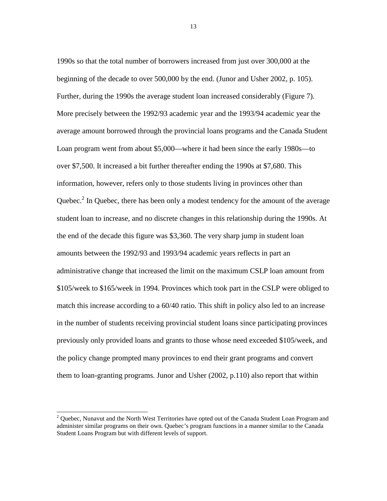1990s so that the total number of borrowers increased from just over 300,000 at the beginning of the decade to over 500,000 by the end. (Junor and Usher 2002, p. 105). Further, during the 1990s the average student loan increased considerably (Figure 7). More precisely between the 1992/93 academic year and the 1993/94 academic year the average amount borrowed through the provincial loans programs and the Canada Student Loan program went from about \$5,000—where it had been since the early 1980s—to over \$7,500. It increased a bit further thereafter ending the 1990s at \$7,680. This information, however, refers only to those students living in provinces other than Quebec.<sup>2</sup> In Quebec, there has been only a modest tendency for the amount of the average student loan to increase, and no discrete changes in this relationship during the 1990s. At the end of the decade this figure was \$3,360. The very sharp jump in student loan amounts between the 1992/93 and 1993/94 academic years reflects in part an administrative change that increased the limit on the maximum CSLP loan amount from \$105/week to \$165/week in 1994. Provinces which took part in the CSLP were obliged to match this increase according to a 60/40 ratio. This shift in policy also led to an increase in the number of students receiving provincial student loans since participating provinces previously only provided loans and grants to those whose need exceeded \$105/week, and the policy change prompted many provinces to end their grant programs and convert them to loan-granting programs. Junor and Usher (2002, p.110) also report that within

<sup>&</sup>lt;sup>2</sup> Quebec, Nunavut and the North West Territories have opted out of the Canada Student Loan Program and administer similar programs on their own. Quebec's program functions in a manner similar to the Canada Student Loans Program but with different levels of support.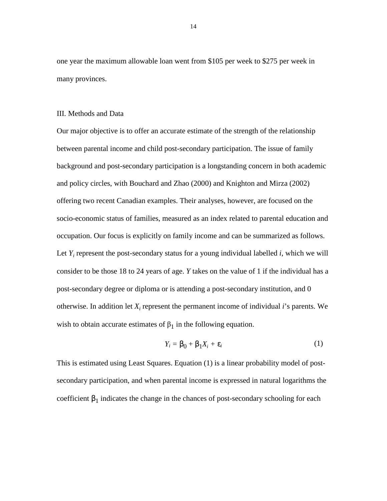one year the maximum allowable loan went from \$105 per week to \$275 per week in many provinces.

#### III. Methods and Data

Our major objective is to offer an accurate estimate of the strength of the relationship between parental income and child post-secondary participation. The issue of family background and post-secondary participation is a longstanding concern in both academic and policy circles, with Bouchard and Zhao (2000) and Knighton and Mirza (2002) offering two recent Canadian examples. Their analyses, however, are focused on the socio-economic status of families, measured as an index related to parental education and occupation. Our focus is explicitly on family income and can be summarized as follows. Let  $Y_i$  represent the post-secondary status for a young individual labelled  $i$ , which we will consider to be those 18 to 24 years of age. *Y* takes on the value of 1 if the individual has a post-secondary degree or diploma or is attending a post-secondary institution, and 0 otherwise. In addition let  $X_i$  represent the permanent income of individual  $i$ 's parents. We wish to obtain accurate estimates of  $\beta_1$  in the following equation.

$$
Y_i = \beta_0 + \beta_1 X_i + \varepsilon_i \tag{1}
$$

This is estimated using Least Squares. Equation (1) is a linear probability model of postsecondary participation, and when parental income is expressed in natural logarithms the coefficient  $\beta_1$  indicates the change in the chances of post-secondary schooling for each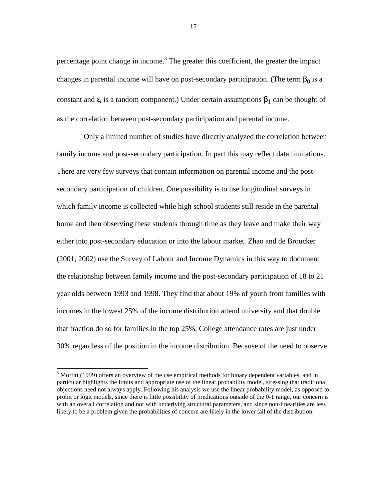percentage point change in income.<sup>3</sup> The greater this coefficient, the greater the impact changes in parental income will have on post-secondary participation. (The term  $\beta_0$  is a constant and  $\varepsilon_i$  is a random component.) Under certain assumptions  $\beta_1$  can be thought of as the correlation between post-secondary participation and parental income.

Only a limited number of studies have directly analyzed the correlation between family income and post-secondary participation. In part this may reflect data limitations. There are very few surveys that contain information on parental income and the postsecondary participation of children. One possibility is to use longitudinal surveys in which family income is collected while high school students still reside in the parental home and then observing these students through time as they leave and make their way either into post-secondary education or into the labour market. Zhao and de Broucker (2001, 2002) use the Survey of Labour and Income Dynamics in this way to document the relationship between family income and the post-secondary participation of 18 to 21 year olds between 1993 and 1998. They find that about 19% of youth from families with incomes in the lowest 25% of the income distribution attend university and that double that fraction do so for families in the top 25%. College attendance rates are just under 30% regardless of the position in the income distribution. Because of the need to observe

-

 $3$  Moffitt (1999) offers an overview of the use empirical methods for binary dependent variables, and in particular highlights the limits and appropriate use of the linear probability model, stressing that traditional objections need not always apply. Following his analysis we use the linear probability model, as opposed to probit or logit models, since there is little possibility of predications outside of the 0-1 range, our concern is with an overall correlation and not with underlying structural parameters, and since non-linearities are less likely to be a problem given the probabilities of concern are likely in the lower tail of the distribution.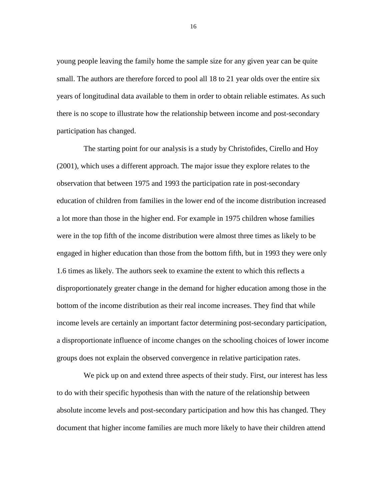young people leaving the family home the sample size for any given year can be quite small. The authors are therefore forced to pool all 18 to 21 year olds over the entire six years of longitudinal data available to them in order to obtain reliable estimates. As such there is no scope to illustrate how the relationship between income and post-secondary participation has changed.

The starting point for our analysis is a study by Christofides, Cirello and Hoy (2001), which uses a different approach. The major issue they explore relates to the observation that between 1975 and 1993 the participation rate in post-secondary education of children from families in the lower end of the income distribution increased a lot more than those in the higher end. For example in 1975 children whose families were in the top fifth of the income distribution were almost three times as likely to be engaged in higher education than those from the bottom fifth, but in 1993 they were only 1.6 times as likely. The authors seek to examine the extent to which this reflects a disproportionately greater change in the demand for higher education among those in the bottom of the income distribution as their real income increases. They find that while income levels are certainly an important factor determining post-secondary participation, a disproportionate influence of income changes on the schooling choices of lower income groups does not explain the observed convergence in relative participation rates.

We pick up on and extend three aspects of their study. First, our interest has less to do with their specific hypothesis than with the nature of the relationship between absolute income levels and post-secondary participation and how this has changed. They document that higher income families are much more likely to have their children attend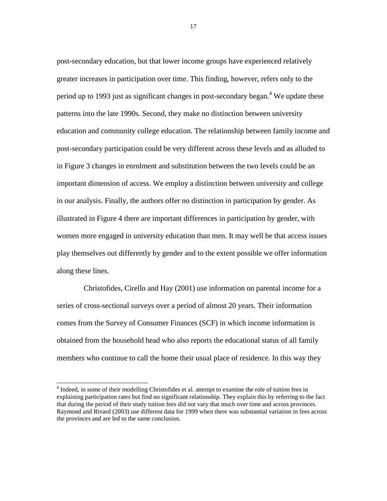post-secondary education, but that lower income groups have experienced relatively greater increases in participation over time. This finding, however, refers only to the period up to 1993 just as significant changes in post-secondary began.<sup>4</sup> We update these patterns into the late 1990s. Second, they make no distinction between university education and community college education. The relationship between family income and post-secondary participation could be very different across these levels and as alluded to in Figure 3 changes in enrolment and substitution between the two levels could be an important dimension of access. We employ a distinction between university and college in our analysis. Finally, the authors offer no distinction in participation by gender. As illustrated in Figure 4 there are important differences in participation by gender, with women more engaged in university education than men. It may well be that access issues play themselves out differently by gender and to the extent possible we offer information along these lines.

Christofides, Cirello and Hay (2001) use information on parental income for a series of cross-sectional surveys over a period of almost 20 years. Their information comes from the Survey of Consumer Finances (SCF) in which income information is obtained from the household head who also reports the educational status of all family members who continue to call the home their usual place of residence. In this way they

-

<sup>&</sup>lt;sup>4</sup> Indeed, in some of their modelling Christofides et al. attempt to examine the role of tuition fees in explaining participation rates but find no significant relationship. They explain this by referring to the fact that during the period of their study tuition fees did not vary that much over time and across provinces. Raymond and Rivard (2003) use different data for 1999 when there was substantial variation in fees across the provinces and are led to the same conclusion.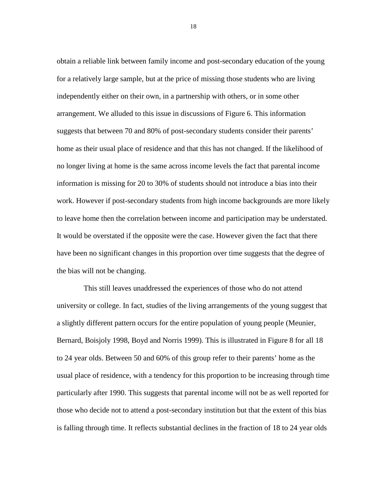obtain a reliable link between family income and post-secondary education of the young for a relatively large sample, but at the price of missing those students who are living independently either on their own, in a partnership with others, or in some other arrangement. We alluded to this issue in discussions of Figure 6. This information suggests that between 70 and 80% of post-secondary students consider their parents' home as their usual place of residence and that this has not changed. If the likelihood of no longer living at home is the same across income levels the fact that parental income information is missing for 20 to 30% of students should not introduce a bias into their work. However if post-secondary students from high income backgrounds are more likely to leave home then the correlation between income and participation may be understated. It would be overstated if the opposite were the case. However given the fact that there have been no significant changes in this proportion over time suggests that the degree of the bias will not be changing.

This still leaves unaddressed the experiences of those who do not attend university or college. In fact, studies of the living arrangements of the young suggest that a slightly different pattern occurs for the entire population of young people (Meunier, Bernard, Boisjoly 1998, Boyd and Norris 1999). This is illustrated in Figure 8 for all 18 to 24 year olds. Between 50 and 60% of this group refer to their parents' home as the usual place of residence, with a tendency for this proportion to be increasing through time particularly after 1990. This suggests that parental income will not be as well reported for those who decide not to attend a post-secondary institution but that the extent of this bias is falling through time. It reflects substantial declines in the fraction of 18 to 24 year olds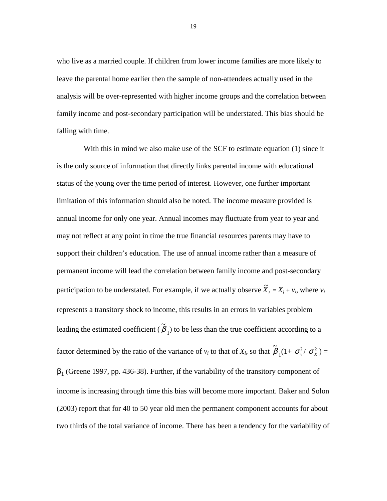who live as a married couple. If children from lower income families are more likely to leave the parental home earlier then the sample of non-attendees actually used in the analysis will be over-represented with higher income groups and the correlation between family income and post-secondary participation will be understated. This bias should be falling with time.

With this in mind we also make use of the SCF to estimate equation (1) since it is the only source of information that directly links parental income with educational status of the young over the time period of interest. However, one further important limitation of this information should also be noted. The income measure provided is annual income for only one year. Annual incomes may fluctuate from year to year and may not reflect at any point in time the true financial resources parents may have to support their children's education. The use of annual income rather than a measure of permanent income will lead the correlation between family income and post-secondary participation to be understated. For example, if we actually observe  $\tilde{X}_i = X_i + v_i$ , where  $v_i$ represents a transitory shock to income, this results in an errors in variables problem leading the estimated coefficient ( ~<br>~  $\beta_1$ ) to be less than the true coefficient according to a factor determined by the ratio of the variance of  $v_i$  to that of  $X_i$ , so that ~<br>~  $\beta_1(1+\sigma_v^2/\sigma_x^2) =$  $\beta_1$  (Greene 1997, pp. 436-38). Further, if the variability of the transitory component of income is increasing through time this bias will become more important. Baker and Solon (2003) report that for 40 to 50 year old men the permanent component accounts for about two thirds of the total variance of income. There has been a tendency for the variability of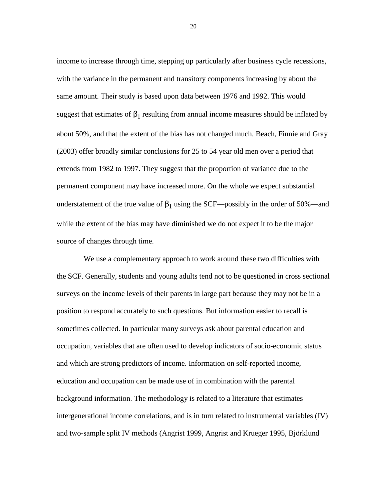income to increase through time, stepping up particularly after business cycle recessions, with the variance in the permanent and transitory components increasing by about the same amount. Their study is based upon data between 1976 and 1992. This would suggest that estimates of  $\beta_1$  resulting from annual income measures should be inflated by about 50%, and that the extent of the bias has not changed much. Beach, Finnie and Gray (2003) offer broadly similar conclusions for 25 to 54 year old men over a period that extends from 1982 to 1997. They suggest that the proportion of variance due to the permanent component may have increased more. On the whole we expect substantial understatement of the true value of  $\beta_1$  using the SCF—possibly in the order of 50%—and while the extent of the bias may have diminished we do not expect it to be the major source of changes through time.

We use a complementary approach to work around these two difficulties with the SCF. Generally, students and young adults tend not to be questioned in cross sectional surveys on the income levels of their parents in large part because they may not be in a position to respond accurately to such questions. But information easier to recall is sometimes collected. In particular many surveys ask about parental education and occupation, variables that are often used to develop indicators of socio-economic status and which are strong predictors of income. Information on self-reported income, education and occupation can be made use of in combination with the parental background information. The methodology is related to a literature that estimates intergenerational income correlations, and is in turn related to instrumental variables (IV) and two-sample split IV methods (Angrist 1999, Angrist and Krueger 1995, Björklund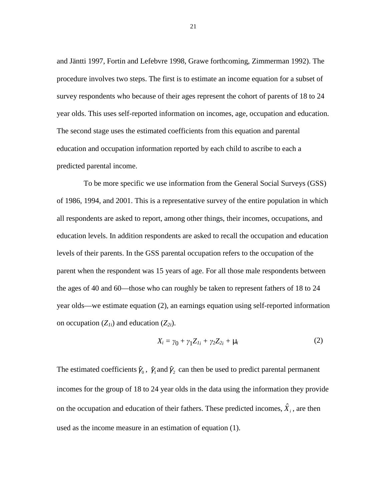and Jäntti 1997, Fortin and Lefebvre 1998, Grawe forthcoming, Zimmerman 1992). The procedure involves two steps. The first is to estimate an income equation for a subset of survey respondents who because of their ages represent the cohort of parents of 18 to 24 year olds. This uses self-reported information on incomes, age, occupation and education. The second stage uses the estimated coefficients from this equation and parental education and occupation information reported by each child to ascribe to each a predicted parental income.

To be more specific we use information from the General Social Surveys (GSS) of 1986, 1994, and 2001. This is a representative survey of the entire population in which all respondents are asked to report, among other things, their incomes, occupations, and education levels. In addition respondents are asked to recall the occupation and education levels of their parents. In the GSS parental occupation refers to the occupation of the parent when the respondent was 15 years of age. For all those male respondents between the ages of 40 and 60—those who can roughly be taken to represent fathers of 18 to 24 year olds—we estimate equation (2), an earnings equation using self-reported information on occupation  $(Z_{1i})$  and education  $(Z_{2i})$ .

$$
X_i = \gamma_0 + \gamma_1 Z_{I_i} + \gamma_2 Z_{2i} + \mu_i \tag{2}
$$

The estimated coefficients  $\hat{\gamma}_0$ ,  $\hat{\gamma}_1$  and  $\hat{\gamma}_2$  can then be used to predict parental permanent incomes for the group of 18 to 24 year olds in the data using the information they provide on the occupation and education of their fathers. These predicted incomes,  $\hat{X}_i$ , are then used as the income measure in an estimation of equation (1).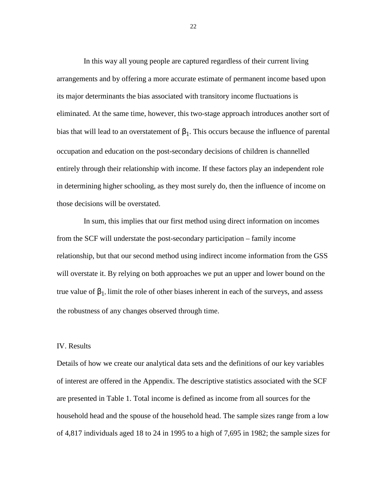In this way all young people are captured regardless of their current living arrangements and by offering a more accurate estimate of permanent income based upon its major determinants the bias associated with transitory income fluctuations is eliminated. At the same time, however, this two-stage approach introduces another sort of bias that will lead to an overstatement of  $\beta_1$ . This occurs because the influence of parental occupation and education on the post-secondary decisions of children is channelled entirely through their relationship with income. If these factors play an independent role in determining higher schooling, as they most surely do, then the influence of income on those decisions will be overstated.

In sum, this implies that our first method using direct information on incomes from the SCF will understate the post-secondary participation – family income relationship, but that our second method using indirect income information from the GSS will overstate it. By relying on both approaches we put an upper and lower bound on the true value of  $\beta_1$ , limit the role of other biases inherent in each of the surveys, and assess the robustness of any changes observed through time.

#### IV. Results

Details of how we create our analytical data sets and the definitions of our key variables of interest are offered in the Appendix. The descriptive statistics associated with the SCF are presented in Table 1. Total income is defined as income from all sources for the household head and the spouse of the household head. The sample sizes range from a low of 4,817 individuals aged 18 to 24 in 1995 to a high of 7,695 in 1982; the sample sizes for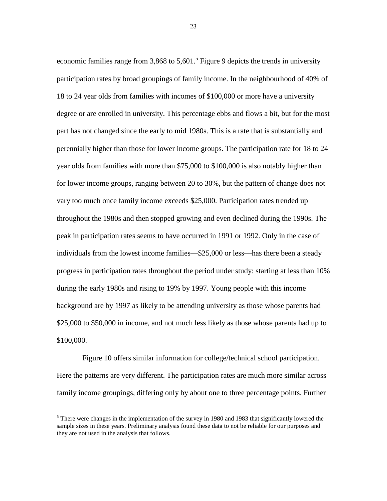economic families range from 3,868 to 5,601.<sup>5</sup> Figure 9 depicts the trends in university participation rates by broad groupings of family income. In the neighbourhood of 40% of 18 to 24 year olds from families with incomes of \$100,000 or more have a university degree or are enrolled in university. This percentage ebbs and flows a bit, but for the most part has not changed since the early to mid 1980s. This is a rate that is substantially and perennially higher than those for lower income groups. The participation rate for 18 to 24 year olds from families with more than \$75,000 to \$100,000 is also notably higher than for lower income groups, ranging between 20 to 30%, but the pattern of change does not vary too much once family income exceeds \$25,000. Participation rates trended up throughout the 1980s and then stopped growing and even declined during the 1990s. The peak in participation rates seems to have occurred in 1991 or 1992. Only in the case of individuals from the lowest income families—\$25,000 or less—has there been a steady progress in participation rates throughout the period under study: starting at less than 10% during the early 1980s and rising to 19% by 1997. Young people with this income background are by 1997 as likely to be attending university as those whose parents had \$25,000 to \$50,000 in income, and not much less likely as those whose parents had up to \$100,000.

Figure 10 offers similar information for college/technical school participation. Here the patterns are very different. The participation rates are much more similar across family income groupings, differing only by about one to three percentage points. Further

<sup>&</sup>lt;sup>5</sup>There were changes in the implementation of the survey in 1980 and 1983 that significantly lowered the sample sizes in these years. Preliminary analysis found these data to not be reliable for our purposes and they are not used in the analysis that follows.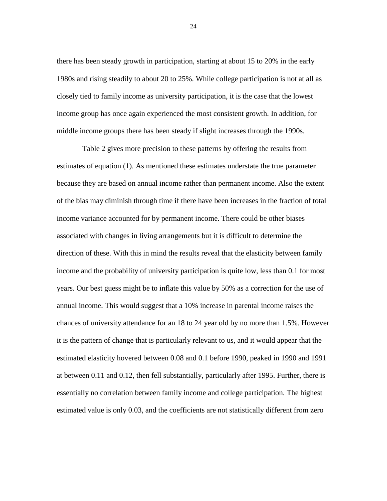there has been steady growth in participation, starting at about 15 to 20% in the early 1980s and rising steadily to about 20 to 25%. While college participation is not at all as closely tied to family income as university participation, it is the case that the lowest income group has once again experienced the most consistent growth. In addition, for middle income groups there has been steady if slight increases through the 1990s.

Table 2 gives more precision to these patterns by offering the results from estimates of equation (1). As mentioned these estimates understate the true parameter because they are based on annual income rather than permanent income. Also the extent of the bias may diminish through time if there have been increases in the fraction of total income variance accounted for by permanent income. There could be other biases associated with changes in living arrangements but it is difficult to determine the direction of these. With this in mind the results reveal that the elasticity between family income and the probability of university participation is quite low, less than 0.1 for most years. Our best guess might be to inflate this value by 50% as a correction for the use of annual income. This would suggest that a 10% increase in parental income raises the chances of university attendance for an 18 to 24 year old by no more than 1.5%. However it is the pattern of change that is particularly relevant to us, and it would appear that the estimated elasticity hovered between 0.08 and 0.1 before 1990, peaked in 1990 and 1991 at between 0.11 and 0.12, then fell substantially, particularly after 1995. Further, there is essentially no correlation between family income and college participation. The highest estimated value is only 0.03, and the coefficients are not statistically different from zero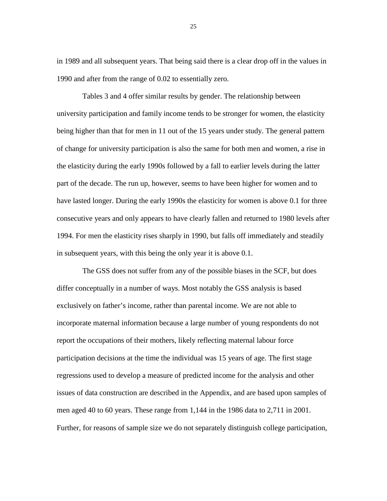in 1989 and all subsequent years. That being said there is a clear drop off in the values in 1990 and after from the range of 0.02 to essentially zero.

Tables 3 and 4 offer similar results by gender. The relationship between university participation and family income tends to be stronger for women, the elasticity being higher than that for men in 11 out of the 15 years under study. The general pattern of change for university participation is also the same for both men and women, a rise in the elasticity during the early 1990s followed by a fall to earlier levels during the latter part of the decade. The run up, however, seems to have been higher for women and to have lasted longer. During the early 1990s the elasticity for women is above 0.1 for three consecutive years and only appears to have clearly fallen and returned to 1980 levels after 1994. For men the elasticity rises sharply in 1990, but falls off immediately and steadily in subsequent years, with this being the only year it is above 0.1.

The GSS does not suffer from any of the possible biases in the SCF, but does differ conceptually in a number of ways. Most notably the GSS analysis is based exclusively on father's income, rather than parental income. We are not able to incorporate maternal information because a large number of young respondents do not report the occupations of their mothers, likely reflecting maternal labour force participation decisions at the time the individual was 15 years of age. The first stage regressions used to develop a measure of predicted income for the analysis and other issues of data construction are described in the Appendix, and are based upon samples of men aged 40 to 60 years. These range from 1,144 in the 1986 data to 2,711 in 2001. Further, for reasons of sample size we do not separately distinguish college participation,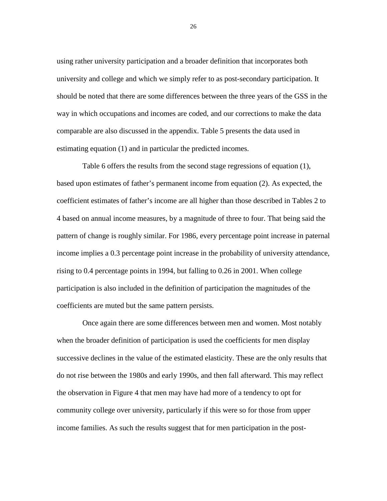using rather university participation and a broader definition that incorporates both university and college and which we simply refer to as post-secondary participation. It should be noted that there are some differences between the three years of the GSS in the way in which occupations and incomes are coded, and our corrections to make the data comparable are also discussed in the appendix. Table 5 presents the data used in estimating equation (1) and in particular the predicted incomes.

Table 6 offers the results from the second stage regressions of equation (1), based upon estimates of father's permanent income from equation (2). As expected, the coefficient estimates of father's income are all higher than those described in Tables 2 to 4 based on annual income measures, by a magnitude of three to four. That being said the pattern of change is roughly similar. For 1986, every percentage point increase in paternal income implies a 0.3 percentage point increase in the probability of university attendance, rising to 0.4 percentage points in 1994, but falling to 0.26 in 2001. When college participation is also included in the definition of participation the magnitudes of the coefficients are muted but the same pattern persists.

Once again there are some differences between men and women. Most notably when the broader definition of participation is used the coefficients for men display successive declines in the value of the estimated elasticity. These are the only results that do not rise between the 1980s and early 1990s, and then fall afterward. This may reflect the observation in Figure 4 that men may have had more of a tendency to opt for community college over university, particularly if this were so for those from upper income families. As such the results suggest that for men participation in the post-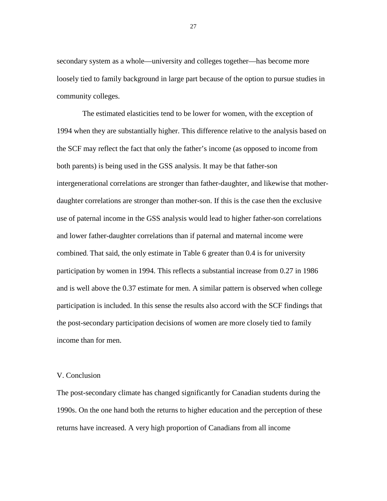secondary system as a whole—university and colleges together—has become more loosely tied to family background in large part because of the option to pursue studies in community colleges.

The estimated elasticities tend to be lower for women, with the exception of 1994 when they are substantially higher. This difference relative to the analysis based on the SCF may reflect the fact that only the father's income (as opposed to income from both parents) is being used in the GSS analysis. It may be that father-son intergenerational correlations are stronger than father-daughter, and likewise that motherdaughter correlations are stronger than mother-son. If this is the case then the exclusive use of paternal income in the GSS analysis would lead to higher father-son correlations and lower father-daughter correlations than if paternal and maternal income were combined. That said, the only estimate in Table 6 greater than 0.4 is for university participation by women in 1994. This reflects a substantial increase from 0.27 in 1986 and is well above the 0.37 estimate for men. A similar pattern is observed when college participation is included. In this sense the results also accord with the SCF findings that the post-secondary participation decisions of women are more closely tied to family income than for men.

#### V. Conclusion

The post-secondary climate has changed significantly for Canadian students during the 1990s. On the one hand both the returns to higher education and the perception of these returns have increased. A very high proportion of Canadians from all income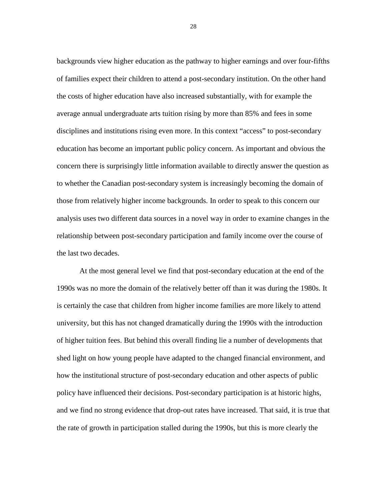backgrounds view higher education as the pathway to higher earnings and over four-fifths of families expect their children to attend a post-secondary institution. On the other hand the costs of higher education have also increased substantially, with for example the average annual undergraduate arts tuition rising by more than 85% and fees in some disciplines and institutions rising even more. In this context "access" to post-secondary education has become an important public policy concern. As important and obvious the concern there is surprisingly little information available to directly answer the question as to whether the Canadian post-secondary system is increasingly becoming the domain of those from relatively higher income backgrounds. In order to speak to this concern our analysis uses two different data sources in a novel way in order to examine changes in the relationship between post-secondary participation and family income over the course of the last two decades.

 At the most general level we find that post-secondary education at the end of the 1990s was no more the domain of the relatively better off than it was during the 1980s. It is certainly the case that children from higher income families are more likely to attend university, but this has not changed dramatically during the 1990s with the introduction of higher tuition fees. But behind this overall finding lie a number of developments that shed light on how young people have adapted to the changed financial environment, and how the institutional structure of post-secondary education and other aspects of public policy have influenced their decisions. Post-secondary participation is at historic highs, and we find no strong evidence that drop-out rates have increased. That said, it is true that the rate of growth in participation stalled during the 1990s, but this is more clearly the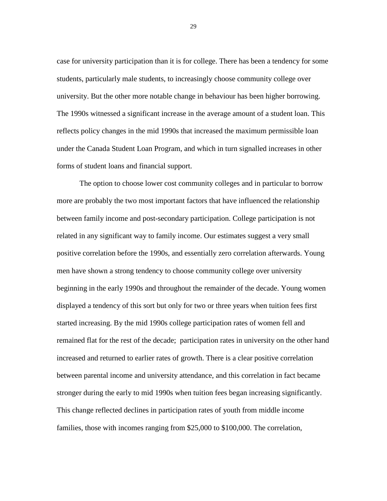case for university participation than it is for college. There has been a tendency for some students, particularly male students, to increasingly choose community college over university. But the other more notable change in behaviour has been higher borrowing. The 1990s witnessed a significant increase in the average amount of a student loan. This reflects policy changes in the mid 1990s that increased the maximum permissible loan under the Canada Student Loan Program, and which in turn signalled increases in other forms of student loans and financial support.

 The option to choose lower cost community colleges and in particular to borrow more are probably the two most important factors that have influenced the relationship between family income and post-secondary participation. College participation is not related in any significant way to family income. Our estimates suggest a very small positive correlation before the 1990s, and essentially zero correlation afterwards. Young men have shown a strong tendency to choose community college over university beginning in the early 1990s and throughout the remainder of the decade. Young women displayed a tendency of this sort but only for two or three years when tuition fees first started increasing. By the mid 1990s college participation rates of women fell and remained flat for the rest of the decade; participation rates in university on the other hand increased and returned to earlier rates of growth. There is a clear positive correlation between parental income and university attendance, and this correlation in fact became stronger during the early to mid 1990s when tuition fees began increasing significantly. This change reflected declines in participation rates of youth from middle income families, those with incomes ranging from \$25,000 to \$100,000. The correlation,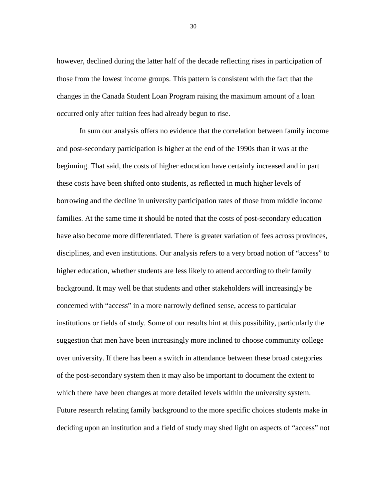however, declined during the latter half of the decade reflecting rises in participation of those from the lowest income groups. This pattern is consistent with the fact that the changes in the Canada Student Loan Program raising the maximum amount of a loan occurred only after tuition fees had already begun to rise.

 In sum our analysis offers no evidence that the correlation between family income and post-secondary participation is higher at the end of the 1990s than it was at the beginning. That said, the costs of higher education have certainly increased and in part these costs have been shifted onto students, as reflected in much higher levels of borrowing and the decline in university participation rates of those from middle income families. At the same time it should be noted that the costs of post-secondary education have also become more differentiated. There is greater variation of fees across provinces, disciplines, and even institutions. Our analysis refers to a very broad notion of "access" to higher education, whether students are less likely to attend according to their family background. It may well be that students and other stakeholders will increasingly be concerned with "access" in a more narrowly defined sense, access to particular institutions or fields of study. Some of our results hint at this possibility, particularly the suggestion that men have been increasingly more inclined to choose community college over university. If there has been a switch in attendance between these broad categories of the post-secondary system then it may also be important to document the extent to which there have been changes at more detailed levels within the university system. Future research relating family background to the more specific choices students make in deciding upon an institution and a field of study may shed light on aspects of "access" not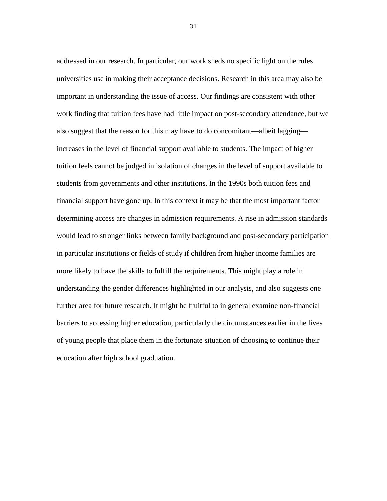addressed in our research. In particular, our work sheds no specific light on the rules universities use in making their acceptance decisions. Research in this area may also be important in understanding the issue of access. Our findings are consistent with other work finding that tuition fees have had little impact on post-secondary attendance, but we also suggest that the reason for this may have to do concomitant—albeit lagging increases in the level of financial support available to students. The impact of higher tuition feels cannot be judged in isolation of changes in the level of support available to students from governments and other institutions. In the 1990s both tuition fees and financial support have gone up. In this context it may be that the most important factor determining access are changes in admission requirements. A rise in admission standards would lead to stronger links between family background and post-secondary participation in particular institutions or fields of study if children from higher income families are more likely to have the skills to fulfill the requirements. This might play a role in understanding the gender differences highlighted in our analysis, and also suggests one further area for future research. It might be fruitful to in general examine non-financial barriers to accessing higher education, particularly the circumstances earlier in the lives of young people that place them in the fortunate situation of choosing to continue their education after high school graduation.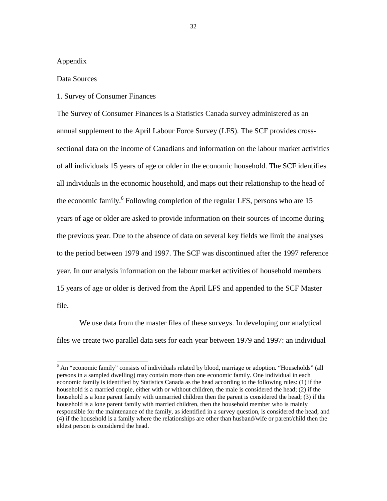#### Appendix

-

#### Data Sources

#### 1. Survey of Consumer Finances

The Survey of Consumer Finances is a Statistics Canada survey administered as an annual supplement to the April Labour Force Survey (LFS). The SCF provides crosssectional data on the income of Canadians and information on the labour market activities of all individuals 15 years of age or older in the economic household. The SCF identifies all individuals in the economic household, and maps out their relationship to the head of the economic family.<sup>6</sup> Following completion of the regular LFS, persons who are 15 years of age or older are asked to provide information on their sources of income during the previous year. Due to the absence of data on several key fields we limit the analyses to the period between 1979 and 1997. The SCF was discontinued after the 1997 reference year. In our analysis information on the labour market activities of household members 15 years of age or older is derived from the April LFS and appended to the SCF Master file.

 We use data from the master files of these surveys. In developing our analytical files we create two parallel data sets for each year between 1979 and 1997: an individual

<sup>&</sup>lt;sup>6</sup> An "economic family" consists of individuals related by blood, marriage or adoption. "Households" (all persons in a sampled dwelling) may contain more than one economic family. One individual in each economic family is identified by Statistics Canada as the head according to the following rules: (1) if the household is a married couple, either with or without children, the male is considered the head; (2) if the household is a lone parent family with unmarried children then the parent is considered the head; (3) if the household is a lone parent family with married children, then the household member who is mainly responsible for the maintenance of the family, as identified in a survey question, is considered the head; and (4) if the household is a family where the relationships are other than husband/wife or parent/child then the eldest person is considered the head.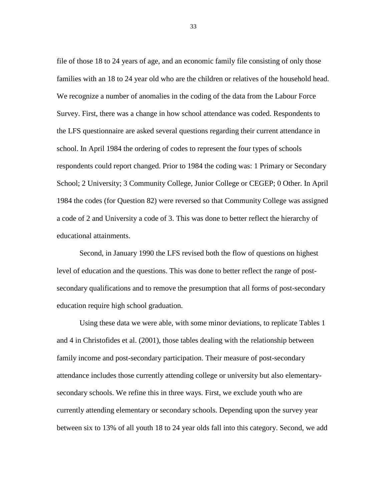file of those 18 to 24 years of age, and an economic family file consisting of only those families with an 18 to 24 year old who are the children or relatives of the household head. We recognize a number of anomalies in the coding of the data from the Labour Force Survey. First, there was a change in how school attendance was coded. Respondents to the LFS questionnaire are asked several questions regarding their current attendance in school. In April 1984 the ordering of codes to represent the four types of schools respondents could report changed. Prior to 1984 the coding was: 1 Primary or Secondary School; 2 University; 3 Community College, Junior College or CEGEP; 0 Other. In April 1984 the codes (for Question 82) were reversed so that Community College was assigned a code of 2 and University a code of 3. This was done to better reflect the hierarchy of educational attainments.

 Second, in January 1990 the LFS revised both the flow of questions on highest level of education and the questions. This was done to better reflect the range of postsecondary qualifications and to remove the presumption that all forms of post-secondary education require high school graduation.

 Using these data we were able, with some minor deviations, to replicate Tables 1 and 4 in Christofides et al. (2001), those tables dealing with the relationship between family income and post-secondary participation. Their measure of post-secondary attendance includes those currently attending college or university but also elementarysecondary schools. We refine this in three ways. First, we exclude youth who are currently attending elementary or secondary schools. Depending upon the survey year between six to 13% of all youth 18 to 24 year olds fall into this category. Second, we add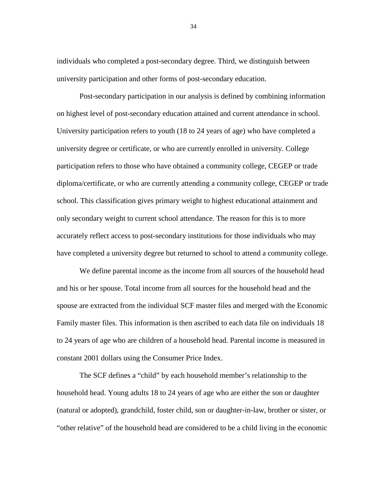individuals who completed a post-secondary degree. Third, we distinguish between university participation and other forms of post-secondary education.

 Post-secondary participation in our analysis is defined by combining information on highest level of post-secondary education attained and current attendance in school. University participation refers to youth (18 to 24 years of age) who have completed a university degree or certificate, or who are currently enrolled in university. College participation refers to those who have obtained a community college, CEGEP or trade diploma/certificate, or who are currently attending a community college, CEGEP or trade school. This classification gives primary weight to highest educational attainment and only secondary weight to current school attendance. The reason for this is to more accurately reflect access to post-secondary institutions for those individuals who may have completed a university degree but returned to school to attend a community college.

 We define parental income as the income from all sources of the household head and his or her spouse. Total income from all sources for the household head and the spouse are extracted from the individual SCF master files and merged with the Economic Family master files. This information is then ascribed to each data file on individuals 18 to 24 years of age who are children of a household head. Parental income is measured in constant 2001 dollars using the Consumer Price Index.

 The SCF defines a "child" by each household member's relationship to the household head. Young adults 18 to 24 years of age who are either the son or daughter (natural or adopted), grandchild, foster child, son or daughter-in-law, brother or sister, or "other relative" of the household head are considered to be a child living in the economic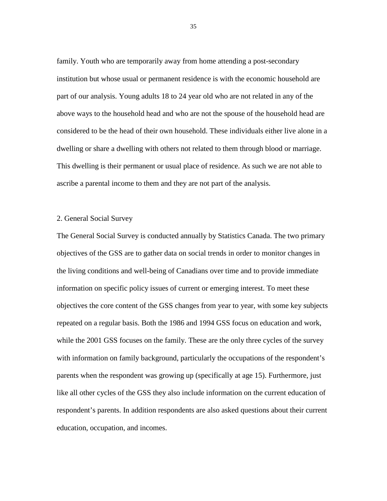family. Youth who are temporarily away from home attending a post-secondary institution but whose usual or permanent residence is with the economic household are part of our analysis. Young adults 18 to 24 year old who are not related in any of the above ways to the household head and who are not the spouse of the household head are considered to be the head of their own household. These individuals either live alone in a dwelling or share a dwelling with others not related to them through blood or marriage. This dwelling is their permanent or usual place of residence. As such we are not able to ascribe a parental income to them and they are not part of the analysis.

#### 2. General Social Survey

The General Social Survey is conducted annually by Statistics Canada. The two primary objectives of the GSS are to gather data on social trends in order to monitor changes in the living conditions and well-being of Canadians over time and to provide immediate information on specific policy issues of current or emerging interest. To meet these objectives the core content of the GSS changes from year to year, with some key subjects repeated on a regular basis. Both the 1986 and 1994 GSS focus on education and work, while the 2001 GSS focuses on the family. These are the only three cycles of the survey with information on family background, particularly the occupations of the respondent's parents when the respondent was growing up (specifically at age 15). Furthermore, just like all other cycles of the GSS they also include information on the current education of respondent's parents. In addition respondents are also asked questions about their current education, occupation, and incomes.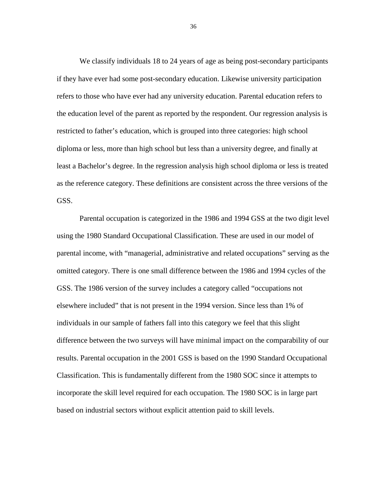We classify individuals 18 to 24 years of age as being post-secondary participants if they have ever had some post-secondary education. Likewise university participation refers to those who have ever had any university education. Parental education refers to the education level of the parent as reported by the respondent. Our regression analysis is restricted to father's education, which is grouped into three categories: high school diploma or less, more than high school but less than a university degree, and finally at least a Bachelor's degree. In the regression analysis high school diploma or less is treated as the reference category. These definitions are consistent across the three versions of the GSS.

 Parental occupation is categorized in the 1986 and 1994 GSS at the two digit level using the 1980 Standard Occupational Classification. These are used in our model of parental income, with "managerial, administrative and related occupations" serving as the omitted category. There is one small difference between the 1986 and 1994 cycles of the GSS. The 1986 version of the survey includes a category called "occupations not elsewhere included" that is not present in the 1994 version. Since less than 1% of individuals in our sample of fathers fall into this category we feel that this slight difference between the two surveys will have minimal impact on the comparability of our results. Parental occupation in the 2001 GSS is based on the 1990 Standard Occupational Classification. This is fundamentally different from the 1980 SOC since it attempts to incorporate the skill level required for each occupation. The 1980 SOC is in large part based on industrial sectors without explicit attention paid to skill levels.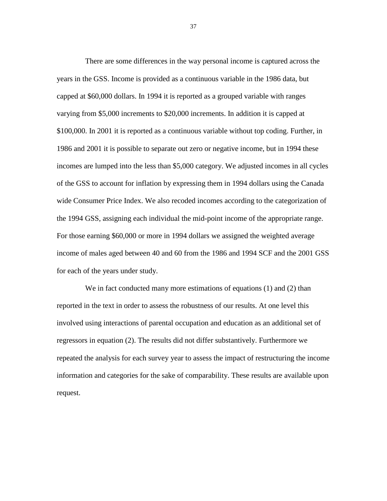There are some differences in the way personal income is captured across the years in the GSS. Income is provided as a continuous variable in the 1986 data, but capped at \$60,000 dollars. In 1994 it is reported as a grouped variable with ranges varying from \$5,000 increments to \$20,000 increments. In addition it is capped at \$100,000. In 2001 it is reported as a continuous variable without top coding. Further, in 1986 and 2001 it is possible to separate out zero or negative income, but in 1994 these incomes are lumped into the less than \$5,000 category. We adjusted incomes in all cycles of the GSS to account for inflation by expressing them in 1994 dollars using the Canada wide Consumer Price Index. We also recoded incomes according to the categorization of the 1994 GSS, assigning each individual the mid-point income of the appropriate range. For those earning \$60,000 or more in 1994 dollars we assigned the weighted average income of males aged between 40 and 60 from the 1986 and 1994 SCF and the 2001 GSS for each of the years under study.

We in fact conducted many more estimations of equations (1) and (2) than reported in the text in order to assess the robustness of our results. At one level this involved using interactions of parental occupation and education as an additional set of regressors in equation (2). The results did not differ substantively. Furthermore we repeated the analysis for each survey year to assess the impact of restructuring the income information and categories for the sake of comparability. These results are available upon request.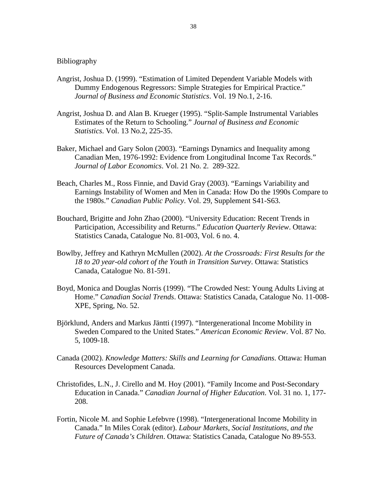#### Bibliography

- Angrist, Joshua D. (1999). "Estimation of Limited Dependent Variable Models with Dummy Endogenous Regressors: Simple Strategies for Empirical Practice." *Journal of Business and Economic Statistics*. Vol. 19 No.1, 2-16.
- Angrist, Joshua D. and Alan B. Krueger (1995). "Split-Sample Instrumental Variables Estimates of the Return to Schooling." *Journal of Business and Economic Statistics*. Vol. 13 No.2, 225-35.
- Baker, Michael and Gary Solon (2003). "Earnings Dynamics and Inequality among Canadian Men, 1976-1992: Evidence from Longitudinal Income Tax Records." *Journal of Labor Economics*. Vol. 21 No. 2. 289-322.
- Beach, Charles M., Ross Finnie, and David Gray (2003). "Earnings Variability and Earnings Instability of Women and Men in Canada: How Do the 1990s Compare to the 1980s." *Canadian Public Policy*. Vol. 29, Supplement S41-S63.
- Bouchard, Brigitte and John Zhao (2000). "University Education: Recent Trends in Participation, Accessibility and Returns." *Education Quarterly Review*. Ottawa: Statistics Canada, Catalogue No. 81-003, Vol. 6 no. 4.
- Bowlby, Jeffrey and Kathryn McMullen (2002). *At the Crossroads: First Results for the 18 to 20 year-old cohort of the Youth in Transition Survey*. Ottawa: Statistics Canada, Catalogue No. 81-591.
- Boyd, Monica and Douglas Norris (1999). "The Crowded Nest: Young Adults Living at Home." *Canadian Social Trends*. Ottawa: Statistics Canada, Catalogue No. 11-008- XPE, Spring, No. 52.
- Björklund, Anders and Markus Jäntti (1997). "Intergenerational Income Mobility in Sweden Compared to the United States." *American Economic Review*. Vol. 87 No. 5, 1009-18.
- Canada (2002). *Knowledge Matters: Skills and Learning for Canadians*. Ottawa: Human Resources Development Canada.
- Christofides, L.N., J. Cirello and M. Hoy (2001). "Family Income and Post-Secondary Education in Canada." *Canadian Journal of Higher Education*. Vol. 31 no. 1, 177- 208.
- Fortin, Nicole M. and Sophie Lefebvre (1998). "Intergenerational Income Mobility in Canada." In Miles Corak (editor). *Labour Markets, Social Institutions, and the Future of Canada's Children*. Ottawa: Statistics Canada, Catalogue No 89-553.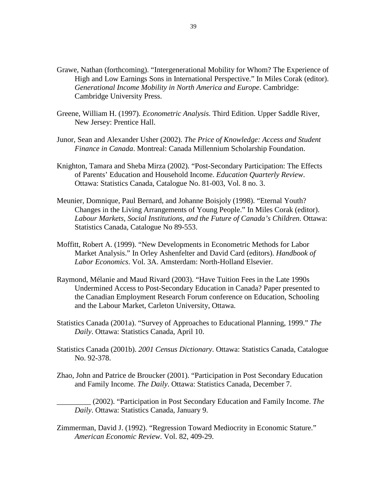- Grawe, Nathan (forthcoming). "Intergenerational Mobility for Whom? The Experience of High and Low Earnings Sons in International Perspective." In Miles Corak (editor). *Generational Income Mobility in North America and Europe*. Cambridge: Cambridge University Press.
- Greene, William H. (1997). *Econometric Analysis*. Third Edition. Upper Saddle River, New Jersey: Prentice Hall.
- Junor, Sean and Alexander Usher (2002). *The Price of Knowledge: Access and Student Finance in Canada*. Montreal: Canada Millennium Scholarship Foundation.
- Knighton, Tamara and Sheba Mirza (2002). "Post-Secondary Participation: The Effects of Parents' Education and Household Income. *Education Quarterly Review*. Ottawa: Statistics Canada, Catalogue No. 81-003, Vol. 8 no. 3.
- Meunier, Domnique, Paul Bernard, and Johanne Boisjoly (1998). "Eternal Youth? Changes in the Living Arrangements of Young People." In Miles Corak (editor). *Labour Markets, Social Institutions, and the Future of Canada's Children*. Ottawa: Statistics Canada, Catalogue No 89-553.
- Moffitt, Robert A. (1999). "New Developments in Econometric Methods for Labor Market Analysis." In Orley Ashenfelter and David Card (editors). *Handbook of Labor Economics*. Vol. 3A. Amsterdam: North-Holland Elsevier.
- Raymond, Mélanie and Maud Rivard (2003). "Have Tuition Fees in the Late 1990s Undermined Access to Post-Secondary Education in Canada? Paper presented to the Canadian Employment Research Forum conference on Education, Schooling and the Labour Market, Carleton University, Ottawa.
- Statistics Canada (2001a). "Survey of Approaches to Educational Planning, 1999." *The Daily*. Ottawa: Statistics Canada, April 10.
- Statistics Canada (2001b). *2001 Census Dictionary*. Ottawa: Statistics Canada, Catalogue No. 92-378.
- Zhao, John and Patrice de Broucker (2001). "Participation in Post Secondary Education and Family Income. *The Daily*. Ottawa: Statistics Canada, December 7.

\_\_\_\_\_\_\_\_\_ (2002). "Participation in Post Secondary Education and Family Income. *The Daily*. Ottawa: Statistics Canada, January 9.

Zimmerman, David J. (1992). "Regression Toward Mediocrity in Economic Stature." *American Economic Review*. Vol. 82, 409-29.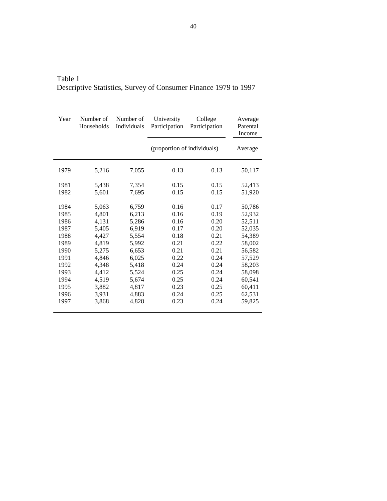| Year | Number of<br>Households | Number of<br>Individuals | University<br>Participation | College<br>Participation | Average<br>Parental<br>Income |
|------|-------------------------|--------------------------|-----------------------------|--------------------------|-------------------------------|
|      |                         |                          | (proportion of individuals) |                          | Average                       |
| 1979 | 5,216                   | 7,055                    | 0.13                        | 0.13                     | 50,117                        |
| 1981 | 5,438                   | 7,354                    | 0.15                        | 0.15                     | 52,413                        |
| 1982 | 5,601                   | 7,695                    | 0.15                        | 0.15                     | 51,920                        |
| 1984 | 5,063                   | 6,759                    | 0.16                        | 0.17                     | 50,786                        |
| 1985 | 4.801                   | 6,213                    | 0.16                        | 0.19                     | 52,932                        |
| 1986 | 4,131                   | 5,286                    | 0.16                        | 0.20                     | 52,511                        |
| 1987 | 5,405                   | 6,919                    | 0.17                        | 0.20                     | 52,035                        |
| 1988 | 4,427                   | 5,554                    | 0.18                        | 0.21                     | 54,389                        |
| 1989 | 4,819                   | 5,992                    | 0.21                        | 0.22                     | 58,002                        |
| 1990 | 5,275                   | 6,653                    | 0.21                        | 0.21                     | 56,582                        |
| 1991 | 4,846                   | 6,025                    | 0.22                        | 0.24                     | 57,529                        |
| 1992 | 4,348                   | 5,418                    | 0.24                        | 0.24                     | 58,203                        |
| 1993 | 4,412                   | 5,524                    | 0.25                        | 0.24                     | 58,098                        |
| 1994 | 4,519                   | 5,674                    | 0.25                        | 0.24                     | 60,541                        |
| 1995 | 3,882                   | 4,817                    | 0.23                        | 0.25                     | 60,411                        |
| 1996 | 3,931                   | 4,883                    | 0.24                        | 0.25                     | 62,531                        |
| 1997 | 3,868                   | 4,828                    | 0.23                        | 0.24                     | 59,825                        |

Table 1 Descriptive Statistics, Survey of Consumer Finance 1979 to 1997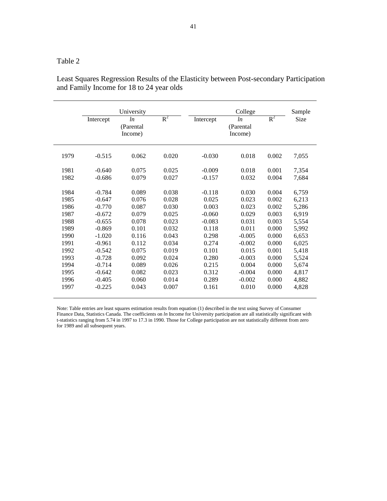|      | University |                                   |       | College   |                                   |       | Sample |
|------|------------|-----------------------------------|-------|-----------|-----------------------------------|-------|--------|
|      | Intercept  | <i>ln</i><br>(Parental<br>Income) | $R^2$ | Intercept | <i>ln</i><br>(Parental<br>Income) | $R^2$ | Size   |
| 1979 | $-0.515$   | 0.062                             | 0.020 | $-0.030$  | 0.018                             | 0.002 | 7,055  |
| 1981 | $-0.640$   | 0.075                             | 0.025 | $-0.009$  | 0.018                             | 0.001 | 7,354  |
| 1982 | $-0.686$   | 0.079                             | 0.027 | $-0.157$  | 0.032                             | 0.004 | 7,684  |
| 1984 | $-0.784$   | 0.089                             | 0.038 | $-0.118$  | 0.030                             | 0.004 | 6,759  |
| 1985 | $-0.647$   | 0.076                             | 0.028 | 0.025     | 0.023                             | 0.002 | 6,213  |
| 1986 | $-0.770$   | 0.087                             | 0.030 | 0.003     | 0.023                             | 0.002 | 5,286  |
| 1987 | $-0.672$   | 0.079                             | 0.025 | $-0.060$  | 0.029                             | 0.003 | 6,919  |
| 1988 | $-0.655$   | 0.078                             | 0.023 | $-0.083$  | 0.031                             | 0.003 | 5,554  |
| 1989 | $-0.869$   | 0.101                             | 0.032 | 0.118     | 0.011                             | 0.000 | 5,992  |
| 1990 | $-1.020$   | 0.116                             | 0.043 | 0.298     | $-0.005$                          | 0.000 | 6,653  |
| 1991 | $-0.961$   | 0.112                             | 0.034 | 0.274     | $-0.002$                          | 0.000 | 6,025  |
| 1992 | $-0.542$   | 0.075                             | 0.019 | 0.101     | 0.015                             | 0.001 | 5,418  |
| 1993 | $-0.728$   | 0.092                             | 0.024 | 0.280     | $-0.003$                          | 0.000 | 5,524  |
| 1994 | $-0.714$   | 0.089                             | 0.026 | 0.215     | 0.004                             | 0.000 | 5,674  |
| 1995 | $-0.642$   | 0.082                             | 0.023 | 0.312     | $-0.004$                          | 0.000 | 4,817  |
| 1996 | $-0.405$   | 0.060                             | 0.014 | 0.289     | $-0.002$                          | 0.000 | 4,882  |
| 1997 | $-0.225$   | 0.043                             | 0.007 | 0.161     | 0.010                             | 0.000 | 4,828  |

Least Squares Regression Results of the Elasticity between Post-secondary Participation and Family Income for 18 to 24 year olds

Note: Table entries are least squares estimation results from equation (1) described in the text using Survey of Consumer Finance Data, Statistics Canada. The coefficients on *ln* Income for University participation are all statistically significant with t-statistics ranging from 5.74 in 1997 to 17.3 in 1990. Those for College participation are not statistically different from zero for 1989 and all subsequent years.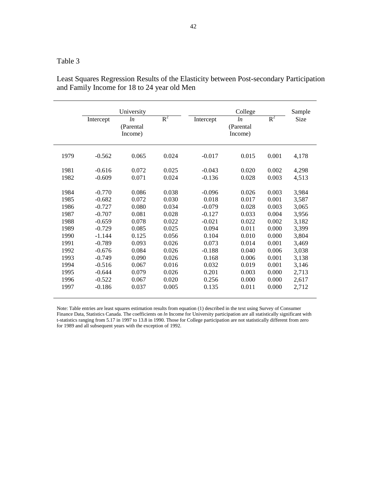|      | University |                             |       | College   |                             |       | Sample |
|------|------------|-----------------------------|-------|-----------|-----------------------------|-------|--------|
|      | Intercept  | ln<br>(Parental)<br>Income) | $R^2$ | Intercept | ln<br>(Parental)<br>Income) | $R^2$ | Size   |
| 1979 | $-0.562$   | 0.065                       | 0.024 | $-0.017$  | 0.015                       | 0.001 | 4,178  |
| 1981 | $-0.616$   | 0.072                       | 0.025 | $-0.043$  | 0.020                       | 0.002 | 4,298  |
| 1982 | $-0.609$   | 0.071                       | 0.024 | $-0.136$  | 0.028                       | 0.003 | 4,513  |
| 1984 | $-0.770$   | 0.086                       | 0.038 | $-0.096$  | 0.026                       | 0.003 | 3,984  |
| 1985 | $-0.682$   | 0.072                       | 0.030 | 0.018     | 0.017                       | 0.001 | 3,587  |
| 1986 | $-0.727$   | 0.080                       | 0.034 | $-0.079$  | 0.028                       | 0.003 | 3,065  |
| 1987 | $-0.707$   | 0.081                       | 0.028 | $-0.127$  | 0.033                       | 0.004 | 3,956  |
| 1988 | $-0.659$   | 0.078                       | 0.022 | $-0.021$  | 0.022                       | 0.002 | 3,182  |
| 1989 | $-0.729$   | 0.085                       | 0.025 | 0.094     | 0.011                       | 0.000 | 3,399  |
| 1990 | $-1.144$   | 0.125                       | 0.056 | 0.104     | 0.010                       | 0.000 | 3,804  |
| 1991 | $-0.789$   | 0.093                       | 0.026 | 0.073     | 0.014                       | 0.001 | 3,469  |
| 1992 | $-0.676$   | 0.084                       | 0.026 | $-0.188$  | 0.040                       | 0.006 | 3,038  |
| 1993 | $-0.749$   | 0.090                       | 0.026 | 0.168     | 0.006                       | 0.001 | 3,138  |
| 1994 | $-0.516$   | 0.067                       | 0.016 | 0.032     | 0.019                       | 0.001 | 3,146  |
| 1995 | $-0.644$   | 0.079                       | 0.026 | 0.201     | 0.003                       | 0.000 | 2,713  |
| 1996 | $-0.522$   | 0.067                       | 0.020 | 0.256     | 0.000                       | 0.000 | 2,617  |
| 1997 | $-0.186$   | 0.037                       | 0.005 | 0.135     | 0.011                       | 0.000 | 2,712  |

Least Squares Regression Results of the Elasticity between Post-secondary Participation and Family Income for 18 to 24 year old Men

Note: Table entries are least squares estimation results from equation (1) described in the text using Survey of Consumer Finance Data, Statistics Canada. The coefficients on *ln* Income for University participation are all statistically significant with t-statistics ranging from 5.17 in 1997 to 13.8 in 1990. Those for College participation are not statistically different from zero for 1989 and all subsequent years with the exception of 1992.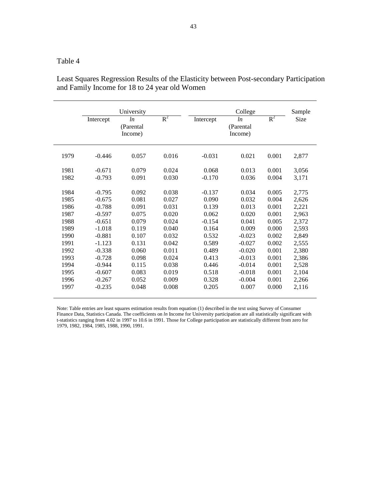|      |           | University                  |       |           | College                    |       | Sample |
|------|-----------|-----------------------------|-------|-----------|----------------------------|-------|--------|
|      | Intercept | ln<br>(Parental)<br>Income) | $R^2$ | Intercept | ln<br>(Parental<br>Income) | $R^2$ | Size   |
| 1979 | $-0.446$  | 0.057                       | 0.016 | $-0.031$  | 0.021                      | 0.001 | 2,877  |
| 1981 | $-0.671$  | 0.079                       | 0.024 | 0.068     | 0.013                      | 0.001 | 3,056  |
| 1982 | $-0.793$  | 0.091                       | 0.030 | $-0.170$  | 0.036                      | 0.004 | 3,171  |
| 1984 | $-0.795$  | 0.092                       | 0.038 | $-0.137$  | 0.034                      | 0.005 | 2,775  |
| 1985 | $-0.675$  | 0.081                       | 0.027 | 0.090     | 0.032                      | 0.004 | 2,626  |
| 1986 | $-0.788$  | 0.091                       | 0.031 | 0.139     | 0.013                      | 0.001 | 2,221  |
| 1987 | $-0.597$  | 0.075                       | 0.020 | 0.062     | 0.020                      | 0.001 | 2,963  |
| 1988 | $-0.651$  | 0.079                       | 0.024 | $-0.154$  | 0.041                      | 0.005 | 2,372  |
| 1989 | $-1.018$  | 0.119                       | 0.040 | 0.164     | 0.009                      | 0.000 | 2,593  |
| 1990 | $-0.881$  | 0.107                       | 0.032 | 0.532     | $-0.023$                   | 0.002 | 2,849  |
| 1991 | $-1.123$  | 0.131                       | 0.042 | 0.589     | $-0.027$                   | 0.002 | 2,555  |
| 1992 | $-0.338$  | 0.060                       | 0.011 | 0.489     | $-0.020$                   | 0.001 | 2,380  |
| 1993 | $-0.728$  | 0.098                       | 0.024 | 0.413     | $-0.013$                   | 0.001 | 2,386  |
| 1994 | $-0.944$  | 0.115                       | 0.038 | 0.446     | $-0.014$                   | 0.001 | 2,528  |
| 1995 | $-0.607$  | 0.083                       | 0.019 | 0.518     | $-0.018$                   | 0.001 | 2,104  |
| 1996 | $-0.267$  | 0.052                       | 0.009 | 0.328     | $-0.004$                   | 0.001 | 2,266  |
| 1997 | $-0.235$  | 0.048                       | 0.008 | 0.205     | 0.007                      | 0.000 | 2,116  |

Least Squares Regression Results of the Elasticity between Post-secondary Participation and Family Income for 18 to 24 year old Women

Note: Table entries are least squares estimation results from equation (1) described in the text using Survey of Consumer Finance Data, Statistics Canada. The coefficients on *ln* Income for University participation are all statistically significant with t-statistics ranging from 4.02 in 1997 to 10.6 in 1991. Those for College participation are statistically different from zero for 1979, 1982, 1984, 1985, 1988, 1990, 1991.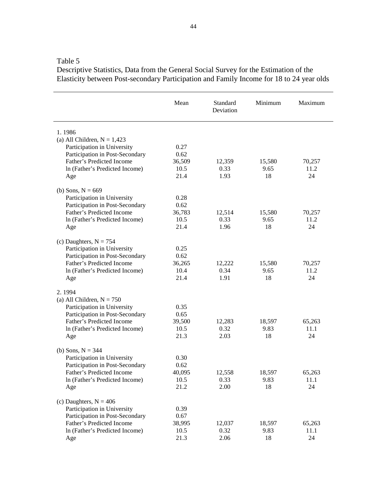Descriptive Statistics, Data from the General Social Survey for the Estimation of the Elasticity between Post-secondary Participation and Family Income for 18 to 24 year olds

|                                 | Mean   | Standard<br>Deviation | Minimum | Maximum |
|---------------------------------|--------|-----------------------|---------|---------|
| 1.1986                          |        |                       |         |         |
| (a) All Children, $N = 1,423$   |        |                       |         |         |
| Participation in University     | 0.27   |                       |         |         |
| Participation in Post-Secondary | 0.62   |                       |         |         |
| Father's Predicted Income       | 36,509 | 12,359                | 15,580  | 70,257  |
| In (Father's Predicted Income)  | 10.5   | 0.33                  | 9.65    | 11.2    |
| Age                             | 21.4   | 1.93                  | 18      | 24      |
| (b) Sons, $N = 669$             |        |                       |         |         |
| Participation in University     | 0.28   |                       |         |         |
| Participation in Post-Secondary | 0.62   |                       |         |         |
| Father's Predicted Income       | 36,783 | 12,514                | 15,580  | 70,257  |
| In (Father's Predicted Income)  | 10.5   | 0.33                  | 9.65    | 11.2    |
| Age                             | 21.4   | 1.96                  | 18      | 24      |
| (c) Daughters, $N = 754$        |        |                       |         |         |
| Participation in University     | 0.25   |                       |         |         |
| Participation in Post-Secondary | 0.62   |                       |         |         |
| Father's Predicted Income       | 36,265 | 12,222                | 15,580  | 70,257  |
| In (Father's Predicted Income)  | 10.4   | 0.34                  | 9.65    | 11.2    |
| Age                             | 21.4   | 1.91                  | 18      | 24      |
| 2.1994                          |        |                       |         |         |
| (a) All Children, $N = 750$     |        |                       |         |         |
| Participation in University     | 0.35   |                       |         |         |
| Participation in Post-Secondary | 0.65   |                       |         |         |
| Father's Predicted Income       | 39,500 | 12,283                | 18,597  | 65,263  |
| In (Father's Predicted Income)  | 10.5   | 0.32                  | 9.83    | 11.1    |
| Age                             | 21.3   | 2.03                  | 18      | 24      |
| (b) Sons, $N = 344$             |        |                       |         |         |
| Participation in University     | 0.30   |                       |         |         |
| Participation in Post-Secondary | 0.62   |                       |         |         |
| Father's Predicted Income       | 40,095 | 12,558                | 18,597  | 65,263  |
| In (Father's Predicted Income)  | 10.5   | 0.33                  | 9.83    | 11.1    |
| Age                             | 21.2   | 2.00                  | 18      | 24      |
| (c) Daughters, $N = 406$        |        |                       |         |         |
| Participation in University     | 0.39   |                       |         |         |
| Participation in Post-Secondary | 0.67   |                       |         |         |
| Father's Predicted Income       | 38,995 | 12,037                | 18,597  | 65,263  |
| In (Father's Predicted Income)  | 10.5   | 0.32                  | 9.83    | 11.1    |
| Age                             | 21.3   | 2.06                  | 18      | 24      |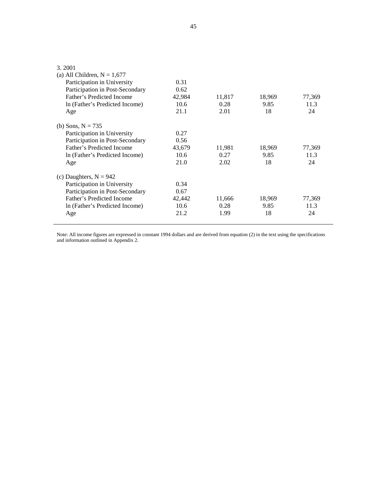| 3.2001<br>(a) All Children, $N = 1,677$<br>Participation in University<br>Participation in Post-Secondary<br>Father's Predicted Income<br>In (Father's Predicted Income)<br>Age | 0.31<br>0.62<br>42,984<br>10.6<br>21.1 | 11,817<br>0.28<br>2.01 | 18,969<br>9.85<br>18 | 77,369<br>11.3<br>24 |
|---------------------------------------------------------------------------------------------------------------------------------------------------------------------------------|----------------------------------------|------------------------|----------------------|----------------------|
| (b) Sons, $N = 735$<br>Participation in University<br>Participation in Post-Secondary<br>Father's Predicted Income<br>In (Father's Predicted Income)<br>Age                     | 0.27<br>0.56<br>43,679<br>10.6<br>21.0 | 11,981<br>0.27<br>2.02 | 18,969<br>9.85<br>18 | 77,369<br>11.3<br>24 |
| (c) Daughters, $N = 942$<br>Participation in University<br>Participation in Post-Secondary<br>Father's Predicted Income<br>In (Father's Predicted Income)<br>Age                | 0.34<br>0.67<br>42,442<br>10.6<br>21.2 | 11,666<br>0.28<br>1.99 | 18,969<br>9.85<br>18 | 77,369<br>11.3<br>24 |

Note: All income figures are expressed in constant 1994 dollars and are derived from equation (2) in the text using the specifications and information outlined in Appendix 2.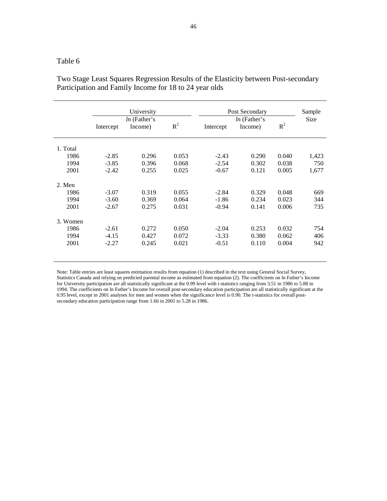|          | Intercept | University<br><i>ln</i> (Father's<br>Income) | $R^2$ | Intercept | Post Secondary<br><i>ln</i> (Father's<br>Income) | $R^2$ | Sample<br><b>Size</b> |
|----------|-----------|----------------------------------------------|-------|-----------|--------------------------------------------------|-------|-----------------------|
| 1. Total |           |                                              |       |           |                                                  |       |                       |
| 1986     | $-2.85$   | 0.296                                        | 0.053 | $-2.43$   | 0.290                                            | 0.040 | 1,423                 |
| 1994     | $-3.85$   | 0.396                                        | 0.068 | $-2.54$   | 0.302                                            | 0.038 | 750                   |
| 2001     | $-2.42$   | 0.255                                        | 0.025 | $-0.67$   | 0.121                                            | 0.005 | 1,677                 |
| 2. Men   |           |                                              |       |           |                                                  |       |                       |
| 1986     | $-3.07$   | 0.319                                        | 0.055 | $-2.84$   | 0.329                                            | 0.048 | 669                   |
| 1994     | $-3.60$   | 0.369                                        | 0.064 | $-1.86$   | 0.234                                            | 0.023 | 344                   |
| 2001     | $-2.67$   | 0.275                                        | 0.031 | $-0.94$   | 0.141                                            | 0.006 | 735                   |
| 3. Women |           |                                              |       |           |                                                  |       |                       |
| 1986     | $-2.61$   | 0.272                                        | 0.050 | $-2.04$   | 0.253                                            | 0.032 | 754                   |
| 1994     | $-4.15$   | 0.427                                        | 0.072 | $-3.33$   | 0.380                                            | 0.062 | 406                   |
| 2001     | $-2.27$   | 0.245                                        | 0.021 | $-0.51$   | 0.110                                            | 0.004 | 942                   |

Two Stage Least Squares Regression Results of the Elasticity between Post-secondary Participation and Family Income for 18 to 24 year olds

Note: Table entries are least squares estimation results from equation (1) described in the text using General Social Survey, Statistics Canada and relying on predicted parental income as estimated from equation (2). The coefficients on ln Father's Income for University participation are all statistically significant at the 0.99 level with t-statistics ranging from 3.51 in 1986 to 5.88 in 1994. The coefficients on ln Father's Income for overall post-secondary education participation are all statistically significant at the 0.95 level, except in 2001 analyses for men and women when the significance level is 0.90. The t-statistics for overall postsecondary education participation range from 1.66 in 2001 to 5.28 in 1986.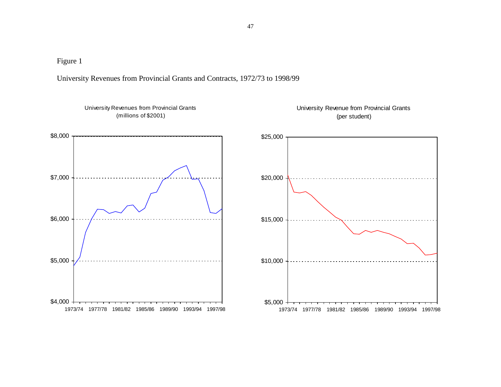University Revenues from Provincial Grants and Contracts, 1972/73 to 1998/99

University Revenues from Provincial Grants(millions of \$2001) $$4,000$   $\overline{ }$  1973/74 1977/78 1981/82 1985/86 1989/90 1993/94 1997/98\$5,000\$6,000\$7,000\$8,000University Revenue from Provincial Grants(per student) $$5,000 +$  1973/74 1977/78 1981/82 1985/86 1989/90 1993/94 1997/98\$10,000\$15,000\$20,000\$25,000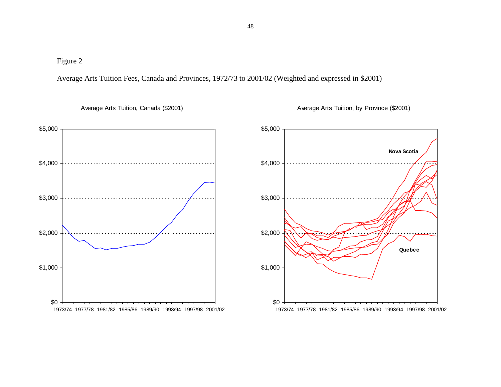Average Arts Tuition Fees, Canada and Provinces, 1972/73 to 2001/02 (Weighted and expressed in \$2001)

 $$0<sub>1</sub>$  1973/74 1977/78 1981/82 1985/86 1989/90 1993/94 1997/98 2001/02\$1,000\$2,000\$3,000\$4,000\$5,000

Average Arts Tuition, Canada (\$2001)

\$0 1973/74 1977/78 1981/82 1985/86 1989/90 1993/94 1997/98 2001/02\$1,000\$2,000\$3,000\$4,000\$5,000**Nova ScotiaQuebec**

Average Arts Tuition, by Province (\$2001)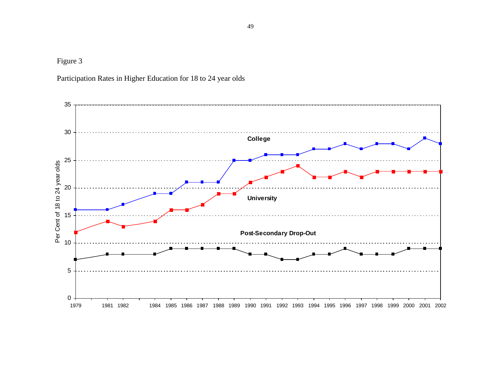Participation Rates in Higher Education for 18 to 24 year olds

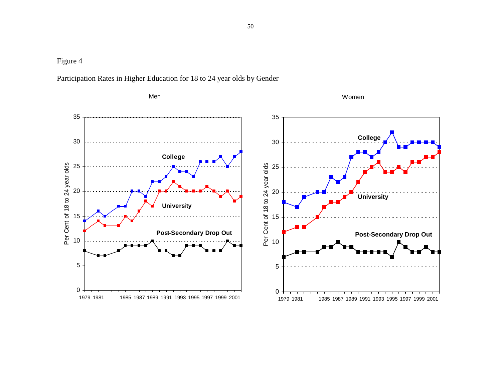

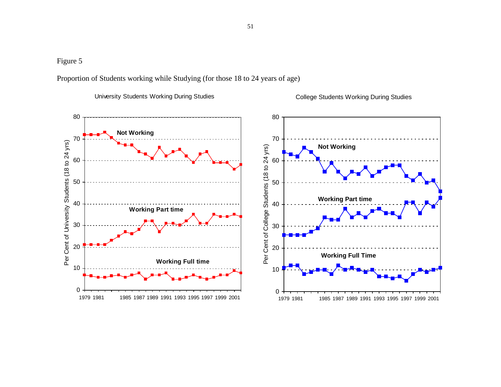Proportion of Students working while Studying (for those 18 to 24 years of age)

University Students Working During Studies



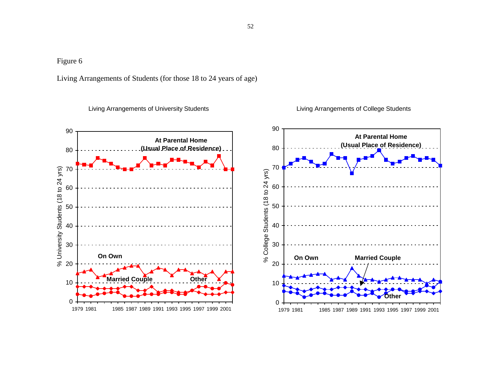Living Arrangements of Students (for those 18 to 24 years of age)

Living Arrangements of University Students

Living Arrangements of College Students



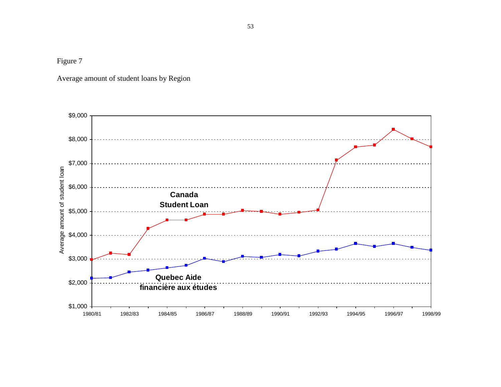Average amount of student loans by Region

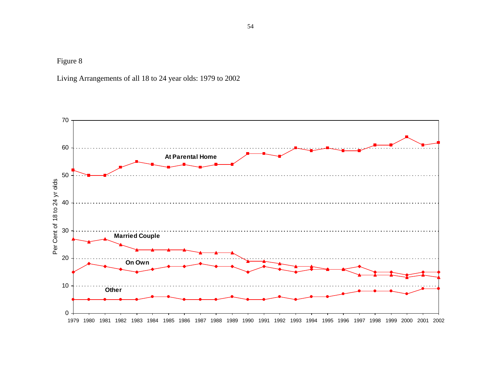Living Arrangements of all 18 to 24 year olds: 1979 to 2002

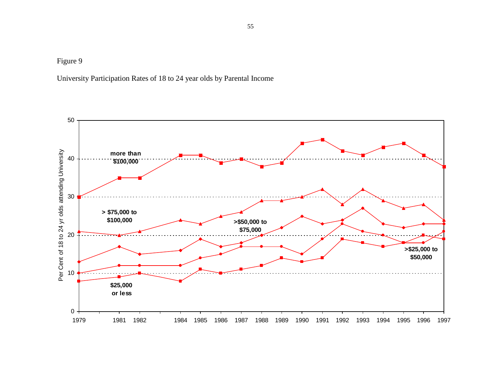University Participation Rates of 18 to 24 year olds by Parental Income

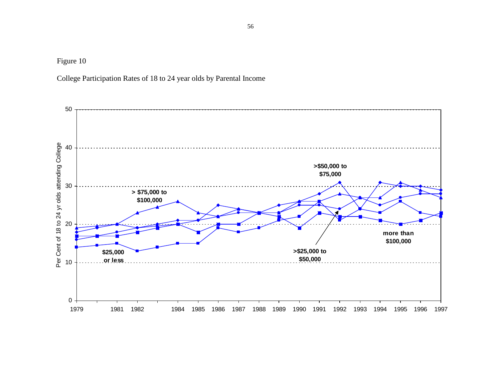College Participation Rates of 18 to 24 year olds by Parental Income